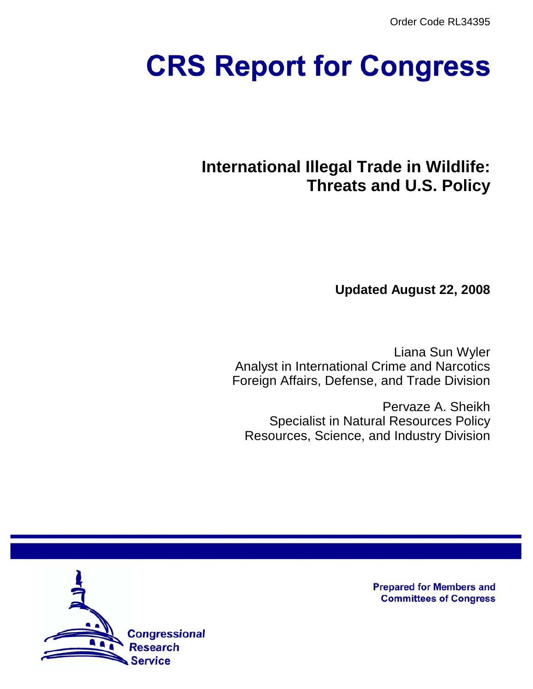Order Code RL34395

# **CRS Report for Congress**

## **International Illegal Trade in Wildlife: Threats and U.S. Policy**

**Updated August 22, 2008**

Liana Sun Wyler Analyst in International Crime and Narcotics Foreign Affairs, Defense, and Trade Division

Pervaze A. Sheikh Specialist in Natural Resources Policy Resources, Science, and Industry Division



**Prepared for Members and Committees of Congress**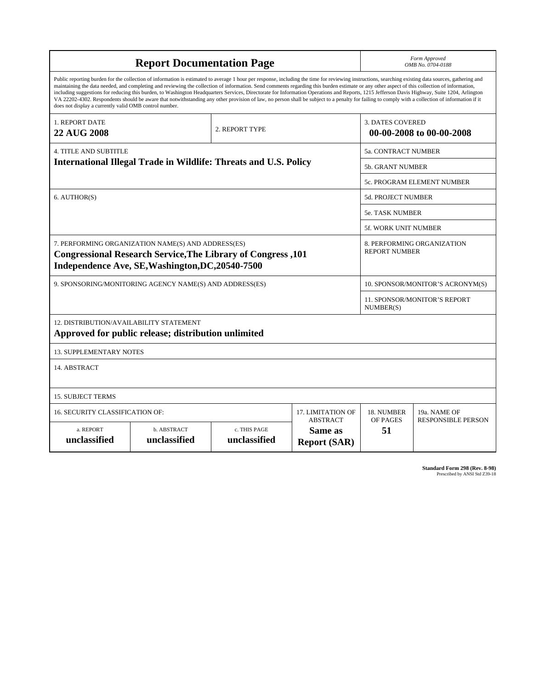| <b>Report Documentation Page</b>                                                                                                                                                                                                                                                                                                                                                                                                                                                                                                                                                                                                                                                                                                                                                                                                                                   |                                                                         |                                                                                   |  | Form Approved<br>OMB No. 0704-0188                 |                           |  |
|--------------------------------------------------------------------------------------------------------------------------------------------------------------------------------------------------------------------------------------------------------------------------------------------------------------------------------------------------------------------------------------------------------------------------------------------------------------------------------------------------------------------------------------------------------------------------------------------------------------------------------------------------------------------------------------------------------------------------------------------------------------------------------------------------------------------------------------------------------------------|-------------------------------------------------------------------------|-----------------------------------------------------------------------------------|--|----------------------------------------------------|---------------------------|--|
| Public reporting burden for the collection of information is estimated to average 1 hour per response, including the time for reviewing instructions, searching existing data sources, gathering and<br>maintaining the data needed, and completing and reviewing the collection of information. Send comments regarding this burden estimate or any other aspect of this collection of information,<br>including suggestions for reducing this burden, to Washington Headquarters Services, Directorate for Information Operations and Reports, 1215 Jefferson Davis Highway, Suite 1204, Arlington<br>VA 22202-4302. Respondents should be aware that notwithstanding any other provision of law, no person shall be subject to a penalty for failing to comply with a collection of information if it<br>does not display a currently valid OMB control number. |                                                                         |                                                                                   |  |                                                    |                           |  |
| 1. REPORT DATE<br><b>22 AUG 2008</b>                                                                                                                                                                                                                                                                                                                                                                                                                                                                                                                                                                                                                                                                                                                                                                                                                               |                                                                         | <b>3. DATES COVERED</b><br>00-00-2008 to 00-00-2008                               |  |                                                    |                           |  |
| 4. TITLE AND SUBTITLE                                                                                                                                                                                                                                                                                                                                                                                                                                                                                                                                                                                                                                                                                                                                                                                                                                              |                                                                         |                                                                                   |  | 5a. CONTRACT NUMBER                                |                           |  |
|                                                                                                                                                                                                                                                                                                                                                                                                                                                                                                                                                                                                                                                                                                                                                                                                                                                                    | <b>International Illegal Trade in Wildlife: Threats and U.S. Policy</b> |                                                                                   |  | <b>5b. GRANT NUMBER</b>                            |                           |  |
|                                                                                                                                                                                                                                                                                                                                                                                                                                                                                                                                                                                                                                                                                                                                                                                                                                                                    |                                                                         |                                                                                   |  | <b>5c. PROGRAM ELEMENT NUMBER</b>                  |                           |  |
| 6. AUTHOR(S)                                                                                                                                                                                                                                                                                                                                                                                                                                                                                                                                                                                                                                                                                                                                                                                                                                                       |                                                                         |                                                                                   |  | 5d. PROJECT NUMBER                                 |                           |  |
|                                                                                                                                                                                                                                                                                                                                                                                                                                                                                                                                                                                                                                                                                                                                                                                                                                                                    |                                                                         |                                                                                   |  | 5e. TASK NUMBER                                    |                           |  |
|                                                                                                                                                                                                                                                                                                                                                                                                                                                                                                                                                                                                                                                                                                                                                                                                                                                                    |                                                                         |                                                                                   |  | <b>5f. WORK UNIT NUMBER</b>                        |                           |  |
| 7. PERFORMING ORGANIZATION NAME(S) AND ADDRESS(ES)<br><b>Congressional Research Service, The Library of Congress, 101</b><br>Independence Ave, SE, Washington, DC, 20540-7500                                                                                                                                                                                                                                                                                                                                                                                                                                                                                                                                                                                                                                                                                      |                                                                         |                                                                                   |  | 8. PERFORMING ORGANIZATION<br><b>REPORT NUMBER</b> |                           |  |
| 9. SPONSORING/MONITORING AGENCY NAME(S) AND ADDRESS(ES)                                                                                                                                                                                                                                                                                                                                                                                                                                                                                                                                                                                                                                                                                                                                                                                                            |                                                                         |                                                                                   |  | 10. SPONSOR/MONITOR'S ACRONYM(S)                   |                           |  |
|                                                                                                                                                                                                                                                                                                                                                                                                                                                                                                                                                                                                                                                                                                                                                                                                                                                                    |                                                                         |                                                                                   |  | <b>11. SPONSOR/MONITOR'S REPORT</b><br>NUMBER(S)   |                           |  |
| 12. DISTRIBUTION/AVAILABILITY STATEMENT<br>Approved for public release; distribution unlimited                                                                                                                                                                                                                                                                                                                                                                                                                                                                                                                                                                                                                                                                                                                                                                     |                                                                         |                                                                                   |  |                                                    |                           |  |
| <b>13. SUPPLEMENTARY NOTES</b>                                                                                                                                                                                                                                                                                                                                                                                                                                                                                                                                                                                                                                                                                                                                                                                                                                     |                                                                         |                                                                                   |  |                                                    |                           |  |
| 14. ABSTRACT                                                                                                                                                                                                                                                                                                                                                                                                                                                                                                                                                                                                                                                                                                                                                                                                                                                       |                                                                         |                                                                                   |  |                                                    |                           |  |
| <b>15. SUBJECT TERMS</b>                                                                                                                                                                                                                                                                                                                                                                                                                                                                                                                                                                                                                                                                                                                                                                                                                                           |                                                                         |                                                                                   |  |                                                    |                           |  |
| 16. SECURITY CLASSIFICATION OF:<br>17. LIMITATION OF                                                                                                                                                                                                                                                                                                                                                                                                                                                                                                                                                                                                                                                                                                                                                                                                               |                                                                         |                                                                                   |  | 18. NUMBER<br>OF PAGES                             | 19a. NAME OF              |  |
| a. REPORT<br>unclassified                                                                                                                                                                                                                                                                                                                                                                                                                                                                                                                                                                                                                                                                                                                                                                                                                                          | <b>b. ABSTRACT</b><br>unclassified                                      | <b>ABSTRACT</b><br>c. THIS PAGE<br>Same as<br>unclassified<br><b>Report (SAR)</b> |  |                                                    | <b>RESPONSIBLE PERSON</b> |  |

**Standard Form 298 (Rev. 8-98)**<br>Prescribed by ANSI Std Z39-18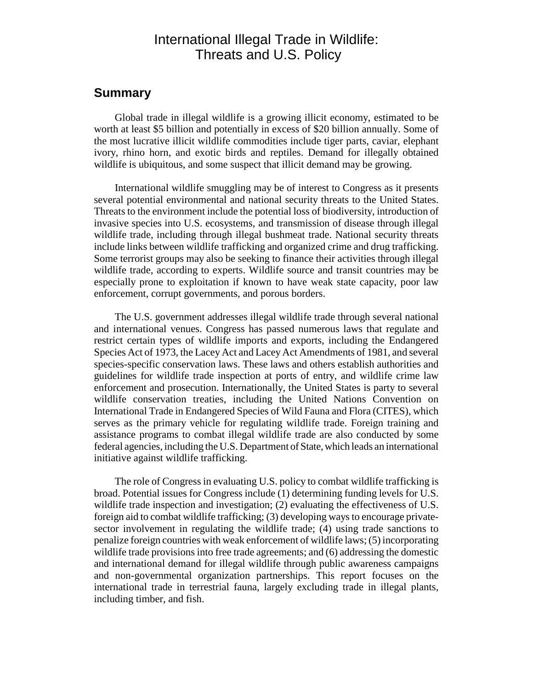## International Illegal Trade in Wildlife: Threats and U.S. Policy

## **Summary**

Global trade in illegal wildlife is a growing illicit economy, estimated to be worth at least \$5 billion and potentially in excess of \$20 billion annually. Some of the most lucrative illicit wildlife commodities include tiger parts, caviar, elephant ivory, rhino horn, and exotic birds and reptiles. Demand for illegally obtained wildlife is ubiquitous, and some suspect that illicit demand may be growing.

International wildlife smuggling may be of interest to Congress as it presents several potential environmental and national security threats to the United States. Threats to the environment include the potential loss of biodiversity, introduction of invasive species into U.S. ecosystems, and transmission of disease through illegal wildlife trade, including through illegal bushmeat trade. National security threats include links between wildlife trafficking and organized crime and drug trafficking. Some terrorist groups may also be seeking to finance their activities through illegal wildlife trade, according to experts. Wildlife source and transit countries may be especially prone to exploitation if known to have weak state capacity, poor law enforcement, corrupt governments, and porous borders.

The U.S. government addresses illegal wildlife trade through several national and international venues. Congress has passed numerous laws that regulate and restrict certain types of wildlife imports and exports, including the Endangered Species Act of 1973, the Lacey Act and Lacey Act Amendments of 1981, and several species-specific conservation laws. These laws and others establish authorities and guidelines for wildlife trade inspection at ports of entry, and wildlife crime law enforcement and prosecution. Internationally, the United States is party to several wildlife conservation treaties, including the United Nations Convention on International Trade in Endangered Species of Wild Fauna and Flora (CITES), which serves as the primary vehicle for regulating wildlife trade. Foreign training and assistance programs to combat illegal wildlife trade are also conducted by some federal agencies, including the U.S. Department of State, which leads an international initiative against wildlife trafficking.

The role of Congress in evaluating U.S. policy to combat wildlife trafficking is broad. Potential issues for Congress include (1) determining funding levels for U.S. wildlife trade inspection and investigation; (2) evaluating the effectiveness of U.S. foreign aid to combat wildlife trafficking; (3) developing ways to encourage privatesector involvement in regulating the wildlife trade; (4) using trade sanctions to penalize foreign countries with weak enforcement of wildlife laws; (5) incorporating wildlife trade provisions into free trade agreements; and (6) addressing the domestic and international demand for illegal wildlife through public awareness campaigns and non-governmental organization partnerships. This report focuses on the international trade in terrestrial fauna, largely excluding trade in illegal plants, including timber, and fish.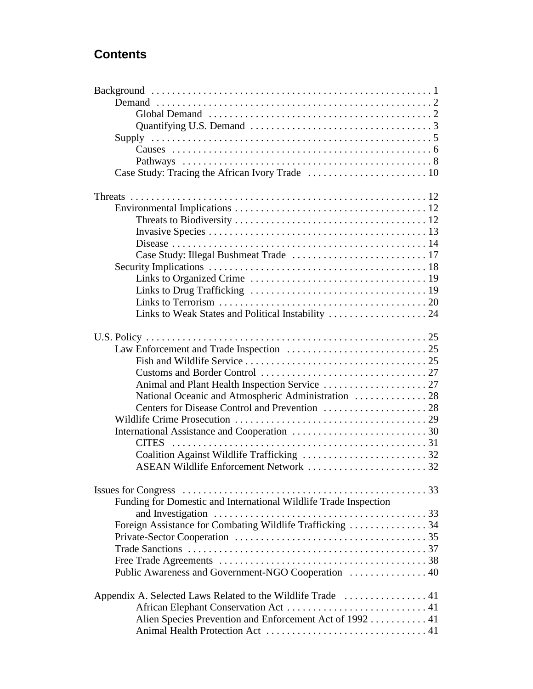## **Contents**

| National Oceanic and Atmospheric Administration  28              |  |
|------------------------------------------------------------------|--|
|                                                                  |  |
|                                                                  |  |
|                                                                  |  |
| $CITER$                                                          |  |
| Coalition Against Wildlife Trafficking 32                        |  |
|                                                                  |  |
|                                                                  |  |
|                                                                  |  |
| Funding for Domestic and International Wildlife Trade Inspection |  |
|                                                                  |  |
| Foreign Assistance for Combating Wildlife Trafficking  34        |  |
|                                                                  |  |
|                                                                  |  |
|                                                                  |  |
| Public Awareness and Government-NGO Cooperation  40              |  |
|                                                                  |  |
|                                                                  |  |
|                                                                  |  |
| Alien Species Prevention and Enforcement Act of 1992 41          |  |
|                                                                  |  |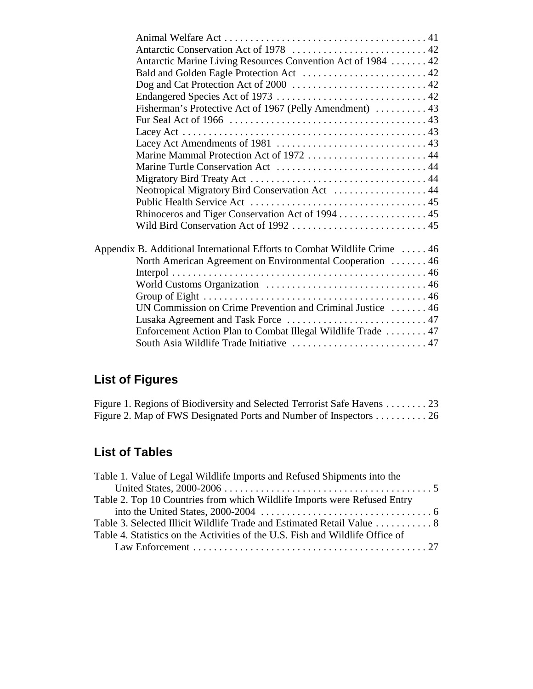| Antarctic Marine Living Resources Convention Act of 1984  42              |  |
|---------------------------------------------------------------------------|--|
|                                                                           |  |
|                                                                           |  |
|                                                                           |  |
| Fisherman's Protective Act of 1967 (Pelly Amendment)  43                  |  |
|                                                                           |  |
|                                                                           |  |
|                                                                           |  |
| Marine Mammal Protection Act of 1972  44                                  |  |
|                                                                           |  |
|                                                                           |  |
| Neotropical Migratory Bird Conservation Act  44                           |  |
|                                                                           |  |
| Rhinoceros and Tiger Conservation Act of 1994 45                          |  |
|                                                                           |  |
| Appendix B. Additional International Efforts to Combat Wildlife Crime  46 |  |
| North American Agreement on Environmental Cooperation  46                 |  |
|                                                                           |  |
|                                                                           |  |
|                                                                           |  |
| UN Commission on Crime Prevention and Criminal Justice  46                |  |
| Lusaka Agreement and Task Force  47                                       |  |
| Enforcement Action Plan to Combat Illegal Wildlife Trade  47              |  |
|                                                                           |  |
|                                                                           |  |

## **List of Figures**

| Figure 1. Regions of Biodiversity and Selected Terrorist Safe Havens 23 |  |
|-------------------------------------------------------------------------|--|
| Figure 2. Map of FWS Designated Ports and Number of Inspectors 26       |  |

## **List of Tables**

| Table 1. Value of Legal Wildlife Imports and Refused Shipments into the       |  |
|-------------------------------------------------------------------------------|--|
|                                                                               |  |
| Table 2. Top 10 Countries from which Wildlife Imports were Refused Entry      |  |
|                                                                               |  |
|                                                                               |  |
| Table 4. Statistics on the Activities of the U.S. Fish and Wildlife Office of |  |
|                                                                               |  |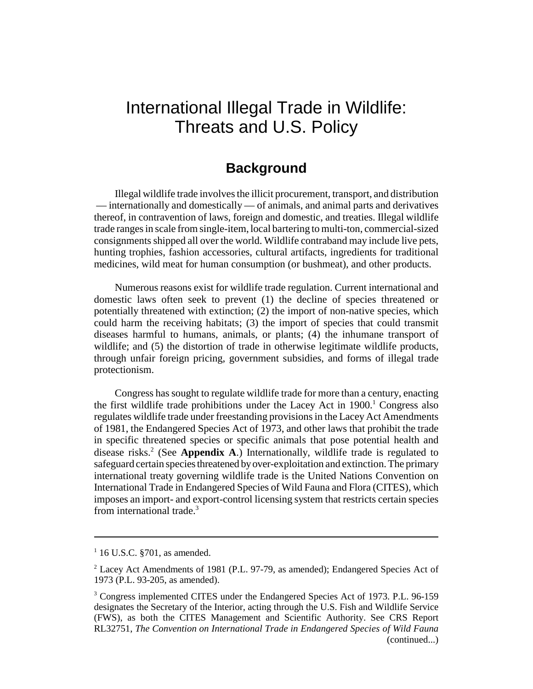## International Illegal Trade in Wildlife: Threats and U.S. Policy

## **Background**

Illegal wildlife trade involves the illicit procurement, transport, and distribution — internationally and domestically — of animals, and animal parts and derivatives thereof, in contravention of laws, foreign and domestic, and treaties. Illegal wildlife trade ranges in scale from single-item, local bartering to multi-ton, commercial-sized consignments shipped all over the world. Wildlife contraband may include live pets, hunting trophies, fashion accessories, cultural artifacts, ingredients for traditional medicines, wild meat for human consumption (or bushmeat), and other products.

Numerous reasons exist for wildlife trade regulation. Current international and domestic laws often seek to prevent (1) the decline of species threatened or potentially threatened with extinction; (2) the import of non-native species, which could harm the receiving habitats; (3) the import of species that could transmit diseases harmful to humans, animals, or plants; (4) the inhumane transport of wildlife; and (5) the distortion of trade in otherwise legitimate wildlife products, through unfair foreign pricing, government subsidies, and forms of illegal trade protectionism.

Congress has sought to regulate wildlife trade for more than a century, enacting the first wildlife trade prohibitions under the Lacey Act in 1900.<sup>1</sup> Congress also regulates wildlife trade under freestanding provisions in the Lacey Act Amendments of 1981, the Endangered Species Act of 1973, and other laws that prohibit the trade in specific threatened species or specific animals that pose potential health and disease risks.<sup>2</sup> (See Appendix A.) Internationally, wildlife trade is regulated to safeguard certain species threatened by over-exploitation and extinction. The primary international treaty governing wildlife trade is the United Nations Convention on International Trade in Endangered Species of Wild Fauna and Flora (CITES), which imposes an import- and export-control licensing system that restricts certain species from international trade.<sup>3</sup>

<sup>1</sup> 16 U.S.C. §701, as amended.

<sup>&</sup>lt;sup>2</sup> Lacey Act Amendments of 1981 (P.L. 97-79, as amended); Endangered Species Act of 1973 (P.L. 93-205, as amended).

<sup>&</sup>lt;sup>3</sup> Congress implemented CITES under the Endangered Species Act of 1973. P.L. 96-159 designates the Secretary of the Interior, acting through the U.S. Fish and Wildlife Service (FWS), as both the CITES Management and Scientific Authority. See CRS Report RL32751, *The Convention on International Trade in Endangered Species of Wild Fauna* (continued...)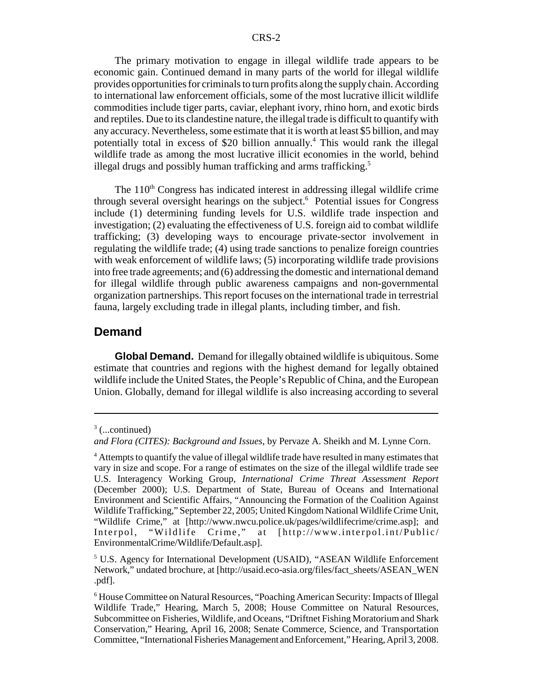The primary motivation to engage in illegal wildlife trade appears to be economic gain. Continued demand in many parts of the world for illegal wildlife provides opportunities for criminals to turn profits along the supply chain. According to international law enforcement officials, some of the most lucrative illicit wildlife commodities include tiger parts, caviar, elephant ivory, rhino horn, and exotic birds and reptiles. Due to its clandestine nature, the illegal trade is difficult to quantify with any accuracy. Nevertheless, some estimate that it is worth at least \$5 billion, and may potentially total in excess of \$20 billion annually.<sup>4</sup> This would rank the illegal wildlife trade as among the most lucrative illicit economies in the world, behind illegal drugs and possibly human trafficking and arms trafficking.<sup>5</sup>

The  $110<sup>th</sup>$  Congress has indicated interest in addressing illegal wildlife crime through several oversight hearings on the subject.<sup>6</sup> Potential issues for Congress include (1) determining funding levels for U.S. wildlife trade inspection and investigation; (2) evaluating the effectiveness of U.S. foreign aid to combat wildlife trafficking; (3) developing ways to encourage private-sector involvement in regulating the wildlife trade; (4) using trade sanctions to penalize foreign countries with weak enforcement of wildlife laws; (5) incorporating wildlife trade provisions into free trade agreements; and (6) addressing the domestic and international demand for illegal wildlife through public awareness campaigns and non-governmental organization partnerships. This report focuses on the international trade in terrestrial fauna, largely excluding trade in illegal plants, including timber, and fish.

#### **Demand**

**Global Demand.** Demand for illegally obtained wildlife is ubiquitous. Some estimate that countries and regions with the highest demand for legally obtained wildlife include the United States, the People's Republic of China, and the European Union. Globally, demand for illegal wildlife is also increasing according to several

 $3$  (...continued)

*and Flora (CITES): Background and Issues*, by Pervaze A. Sheikh and M. Lynne Corn.

<sup>&</sup>lt;sup>4</sup> Attempts to quantify the value of illegal wildlife trade have resulted in many estimates that vary in size and scope. For a range of estimates on the size of the illegal wildlife trade see U.S. Interagency Working Group, *International Crime Threat Assessment Report* (December 2000); U.S. Department of State, Bureau of Oceans and International Environment and Scientific Affairs, "Announcing the Formation of the Coalition Against Wildlife Trafficking," September 22, 2005; United Kingdom National Wildlife Crime Unit, "Wildlife Crime," at [http://www.nwcu.police.uk/pages/wildlifecrime/crime.asp]; and Interpol, "Wildlife Crime," at [http://www.interpol.int/Public/ EnvironmentalCrime/Wildlife/Default.asp].

<sup>&</sup>lt;sup>5</sup> U.S. Agency for International Development (USAID), "ASEAN Wildlife Enforcement Network," undated brochure, at [http://usaid.eco-asia.org/files/fact\_sheets/ASEAN\_WEN .pdf].

<sup>&</sup>lt;sup>6</sup> House Committee on Natural Resources, "Poaching American Security: Impacts of Illegal Wildlife Trade," Hearing, March 5, 2008; House Committee on Natural Resources, Subcommittee on Fisheries, Wildlife, and Oceans, "Driftnet Fishing Moratorium and Shark Conservation," Hearing, April 16, 2008; Senate Commerce, Science, and Transportation Committee, "International Fisheries Management and Enforcement," Hearing, April 3, 2008.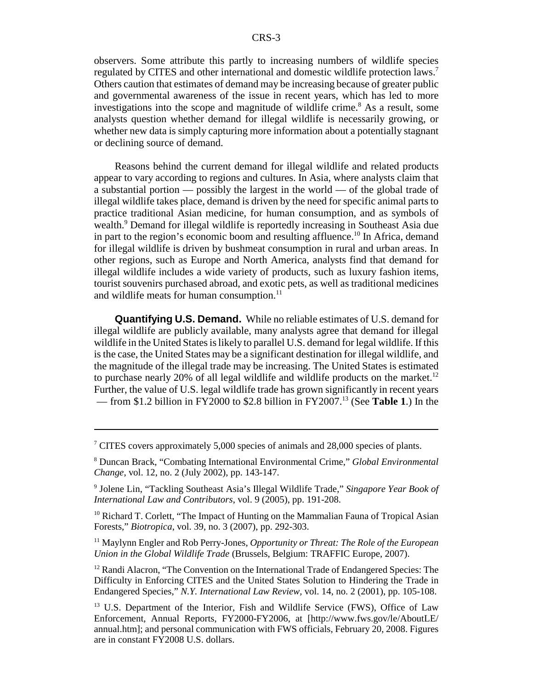observers. Some attribute this partly to increasing numbers of wildlife species regulated by CITES and other international and domestic wildlife protection laws.7 Others caution that estimates of demand may be increasing because of greater public and governmental awareness of the issue in recent years, which has led to more investigations into the scope and magnitude of wildlife crime.<sup>8</sup> As a result, some analysts question whether demand for illegal wildlife is necessarily growing, or whether new data is simply capturing more information about a potentially stagnant or declining source of demand.

Reasons behind the current demand for illegal wildlife and related products appear to vary according to regions and cultures. In Asia, where analysts claim that a substantial portion — possibly the largest in the world — of the global trade of illegal wildlife takes place, demand is driven by the need for specific animal parts to practice traditional Asian medicine, for human consumption, and as symbols of wealth.<sup>9</sup> Demand for illegal wildlife is reportedly increasing in Southeast Asia due in part to the region's economic boom and resulting affluence.<sup>10</sup> In Africa, demand for illegal wildlife is driven by bushmeat consumption in rural and urban areas. In other regions, such as Europe and North America, analysts find that demand for illegal wildlife includes a wide variety of products, such as luxury fashion items, tourist souvenirs purchased abroad, and exotic pets, as well as traditional medicines and wildlife meats for human consumption. $^{11}$ 

**Quantifying U.S. Demand.** While no reliable estimates of U.S. demand for illegal wildlife are publicly available, many analysts agree that demand for illegal wildlife in the United States is likely to parallel U.S. demand for legal wildlife. If this is the case, the United States may be a significant destination for illegal wildlife, and the magnitude of the illegal trade may be increasing. The United States is estimated to purchase nearly 20% of all legal wildlife and wildlife products on the market.<sup>12</sup> Further, the value of U.S. legal wildlife trade has grown significantly in recent years — from \$1.2 billion in FY2000 to \$2.8 billion in FY2007.13 (See **Table 1**.) In the

<sup>&</sup>lt;sup>7</sup> CITES covers approximately 5,000 species of animals and 28,000 species of plants.

<sup>8</sup> Duncan Brack, "Combating International Environmental Crime," *Global Environmental Change*, vol. 12, no. 2 (July 2002), pp. 143-147.

<sup>9</sup> Jolene Lin, "Tackling Southeast Asia's Illegal Wildlife Trade," *Singapore Year Book of International Law and Contributors*, vol. 9 (2005), pp. 191-208.

<sup>&</sup>lt;sup>10</sup> Richard T. Corlett, "The Impact of Hunting on the Mammalian Fauna of Tropical Asian Forests," *Biotropica*, vol. 39, no. 3 (2007), pp. 292-303.

<sup>11</sup> Maylynn Engler and Rob Perry-Jones, *Opportunity or Threat: The Role of the European Union in the Global Wildlife Trade* (Brussels, Belgium: TRAFFIC Europe, 2007).

 $12$  Randi Alacron, "The Convention on the International Trade of Endangered Species: The Difficulty in Enforcing CITES and the United States Solution to Hindering the Trade in Endangered Species," *N.Y. International Law Review,* vol. 14, no. 2 (2001), pp. 105-108.

<sup>&</sup>lt;sup>13</sup> U.S. Department of the Interior, Fish and Wildlife Service (FWS), Office of Law Enforcement, Annual Reports, FY2000-FY2006, at [http://www.fws.gov/le/AboutLE/ annual.htm]; and personal communication with FWS officials, February 20, 2008. Figures are in constant FY2008 U.S. dollars.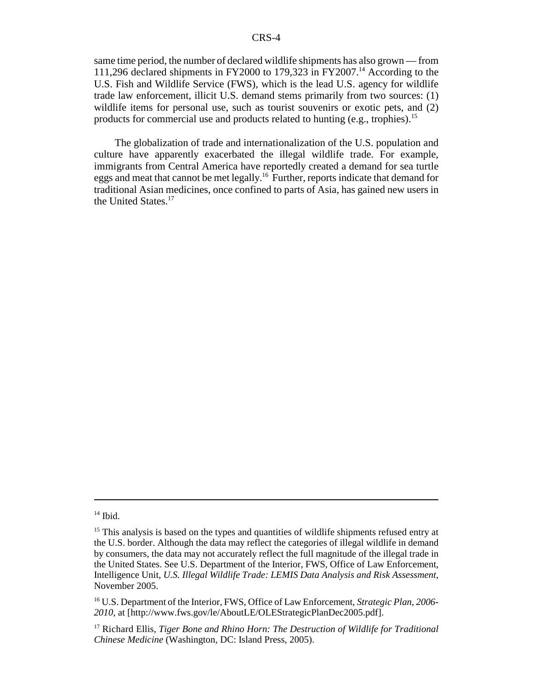same time period, the number of declared wildlife shipments has also grown — from 111,296 declared shipments in FY2000 to 179,323 in FY2007.<sup>14</sup> According to the U.S. Fish and Wildlife Service (FWS), which is the lead U.S. agency for wildlife trade law enforcement, illicit U.S. demand stems primarily from two sources: (1) wildlife items for personal use, such as tourist souvenirs or exotic pets, and (2) products for commercial use and products related to hunting (e.g., trophies).<sup>15</sup>

The globalization of trade and internationalization of the U.S. population and culture have apparently exacerbated the illegal wildlife trade. For example, immigrants from Central America have reportedly created a demand for sea turtle eggs and meat that cannot be met legally.16 Further, reports indicate that demand for traditional Asian medicines, once confined to parts of Asia, has gained new users in the United States.<sup>17</sup>

 $14$  Ibid.

<sup>&</sup>lt;sup>15</sup> This analysis is based on the types and quantities of wildlife shipments refused entry at the U.S. border. Although the data may reflect the categories of illegal wildlife in demand by consumers, the data may not accurately reflect the full magnitude of the illegal trade in the United States. See U.S. Department of the Interior, FWS, Office of Law Enforcement, Intelligence Unit, *U.S. Illegal Wildlife Trade: LEMIS Data Analysis and Risk Assessment*, November 2005.

<sup>16</sup> U.S. Department of the Interior, FWS, Office of Law Enforcement, *Strategic Plan, 2006- 2010*, at [http://www.fws.gov/le/AboutLE/OLEStrategicPlanDec2005.pdf].

<sup>17</sup> Richard Ellis, *Tiger Bone and Rhino Horn: The Destruction of Wildlife for Traditional Chinese Medicine* (Washington, DC: Island Press, 2005).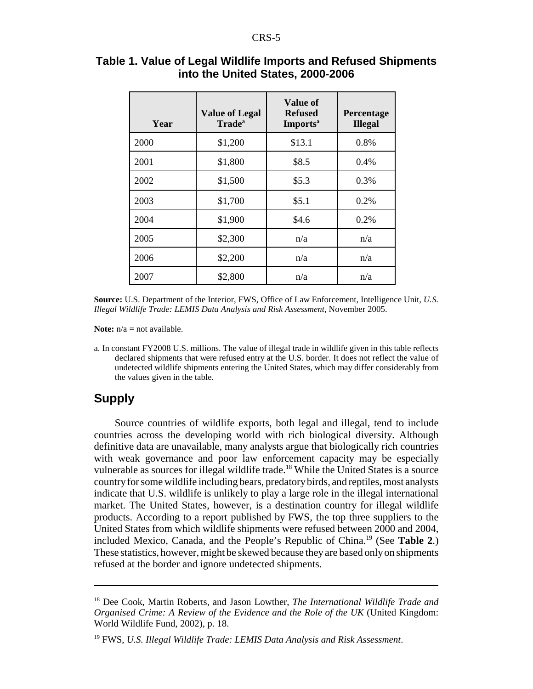| Year | Value of<br><b>Value of Legal</b><br><b>Refused</b><br><b>Trade</b> <sup>a</sup><br><b>Imports</b> <sup>a</sup> |        | Percentage<br><b>Illegal</b> |  |
|------|-----------------------------------------------------------------------------------------------------------------|--------|------------------------------|--|
| 2000 | \$1,200                                                                                                         | \$13.1 | 0.8%                         |  |
| 2001 | \$1,800                                                                                                         | \$8.5  | $0.4\%$                      |  |
| 2002 | \$1,500                                                                                                         | \$5.3  | 0.3%                         |  |
| 2003 | \$1,700                                                                                                         | \$5.1  | 0.2%                         |  |
| 2004 | \$1,900                                                                                                         | \$4.6  | 0.2%                         |  |
| 2005 | \$2,300                                                                                                         | n/a    | n/a                          |  |
| 2006 | \$2,200                                                                                                         | n/a    | n/a                          |  |
| 2007 | \$2,800                                                                                                         | n/a    | n/a                          |  |

#### **Table 1. Value of Legal Wildlife Imports and Refused Shipments into the United States, 2000-2006**

**Source:** U.S. Department of the Interior, FWS, Office of Law Enforcement, Intelligence Unit, *U.S. Illegal Wildlife Trade: LEMIS Data Analysis and Risk Assessment*, November 2005.

**Note:**  $n/a = \text{not available}$ .

a. In constant FY2008 U.S. millions. The value of illegal trade in wildlife given in this table reflects declared shipments that were refused entry at the U.S. border. It does not reflect the value of undetected wildlife shipments entering the United States, which may differ considerably from the values given in the table.

#### **Supply**

Source countries of wildlife exports, both legal and illegal, tend to include countries across the developing world with rich biological diversity. Although definitive data are unavailable, many analysts argue that biologically rich countries with weak governance and poor law enforcement capacity may be especially vulnerable as sources for illegal wildlife trade.<sup>18</sup> While the United States is a source country for some wildlife including bears, predatory birds, and reptiles, most analysts indicate that U.S. wildlife is unlikely to play a large role in the illegal international market. The United States, however, is a destination country for illegal wildlife products. According to a report published by FWS, the top three suppliers to the United States from which wildlife shipments were refused between 2000 and 2004, included Mexico, Canada, and the People's Republic of China.19 (See **Table 2**.) These statistics, however, might be skewed because they are based only on shipments refused at the border and ignore undetected shipments.

<sup>18</sup> Dee Cook, Martin Roberts, and Jason Lowther, *The International Wildlife Trade and Organised Crime: A Review of the Evidence and the Role of the UK* (United Kingdom: World Wildlife Fund, 2002), p. 18.

<sup>19</sup> FWS, *U.S. Illegal Wildlife Trade: LEMIS Data Analysis and Risk Assessment*.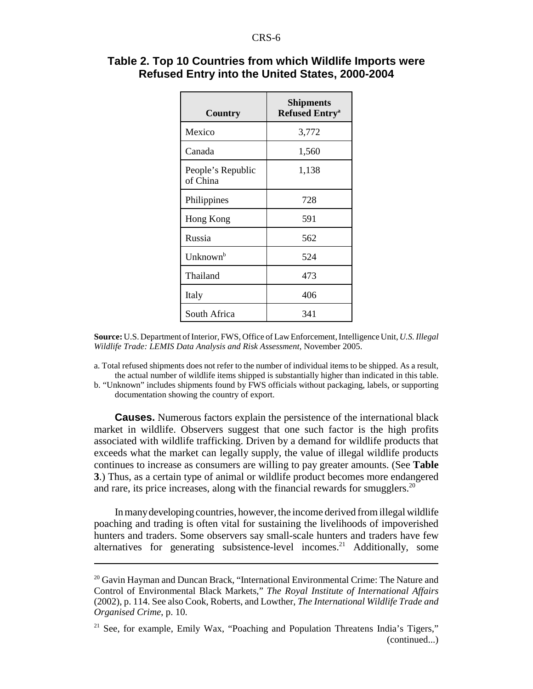| Country                       | Shipments<br><b>Refused Entry<sup>a</sup></b> |
|-------------------------------|-----------------------------------------------|
| Mexico                        | 3,772                                         |
| Canada                        | 1,560                                         |
| People's Republic<br>of China | 1,138                                         |
| Philippines                   | 728                                           |
| Hong Kong                     | 591                                           |
| Russia                        | 562                                           |
| Unknown <sup>b</sup>          | 524                                           |
| Thailand                      | 473                                           |
| Italy                         | 406                                           |
| South Africa                  | 341                                           |

#### **Table 2. Top 10 Countries from which Wildlife Imports were Refused Entry into the United States, 2000-2004**

**Source:** U.S. Department of Interior, FWS, Office of Law Enforcement, Intelligence Unit, *U.S. Illegal Wildlife Trade: LEMIS Data Analysis and Risk Assessment*, November 2005.

a. Total refused shipments does not refer to the number of individual items to be shipped. As a result, the actual number of wildlife items shipped is substantially higher than indicated in this table.

b. "Unknown" includes shipments found by FWS officials without packaging, labels, or supporting documentation showing the country of export.

**Causes.** Numerous factors explain the persistence of the international black market in wildlife. Observers suggest that one such factor is the high profits associated with wildlife trafficking. Driven by a demand for wildlife products that exceeds what the market can legally supply, the value of illegal wildlife products continues to increase as consumers are willing to pay greater amounts. (See **Table 3**.) Thus, as a certain type of animal or wildlife product becomes more endangered and rare, its price increases, along with the financial rewards for smugglers.<sup>20</sup>

In many developing countries, however, the income derived from illegal wildlife poaching and trading is often vital for sustaining the livelihoods of impoverished hunters and traders. Some observers say small-scale hunters and traders have few alternatives for generating subsistence-level incomes.<sup>21</sup> Additionally, some

<sup>&</sup>lt;sup>20</sup> Gavin Hayman and Duncan Brack, "International Environmental Crime: The Nature and Control of Environmental Black Markets," *The Royal Institute of International Affairs* (2002), p. 114. See also Cook, Roberts, and Lowther, *The International Wildlife Trade and Organised Crime*, p. 10.

<sup>&</sup>lt;sup>21</sup> See, for example, Emily Wax, "Poaching and Population Threatens India's Tigers," (continued...)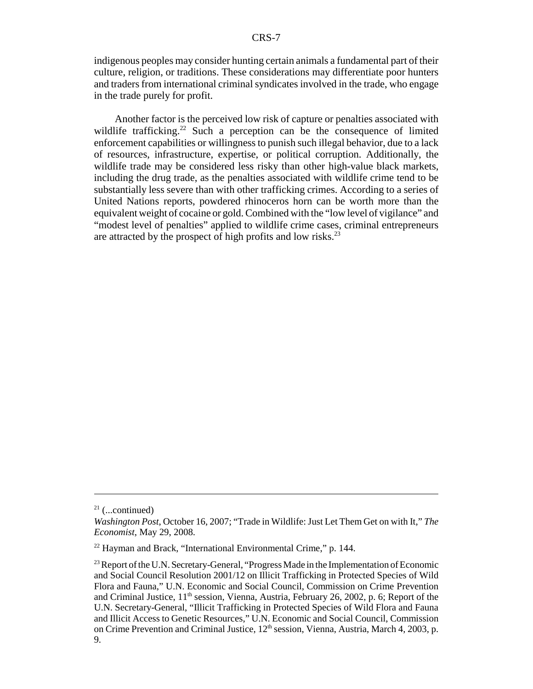indigenous peoples may consider hunting certain animals a fundamental part of their culture, religion, or traditions. These considerations may differentiate poor hunters and traders from international criminal syndicates involved in the trade, who engage in the trade purely for profit.

Another factor is the perceived low risk of capture or penalties associated with wildlife trafficking.<sup>22</sup> Such a perception can be the consequence of limited enforcement capabilities or willingness to punish such illegal behavior, due to a lack of resources, infrastructure, expertise, or political corruption. Additionally, the wildlife trade may be considered less risky than other high-value black markets, including the drug trade, as the penalties associated with wildlife crime tend to be substantially less severe than with other trafficking crimes. According to a series of United Nations reports, powdered rhinoceros horn can be worth more than the equivalent weight of cocaine or gold. Combined with the "low level of vigilance" and "modest level of penalties" applied to wildlife crime cases, criminal entrepreneurs are attracted by the prospect of high profits and low risks. $^{23}$ 

 $21$  (...continued)

*Washington Post*, October 16, 2007; "Trade in Wildlife: Just Let Them Get on with It," *The Economist*, May 29, 2008.

 $^{22}$  Hayman and Brack, "International Environmental Crime," p. 144.

<sup>&</sup>lt;sup>23</sup> Report of the U.N. Secretary-General, "Progress Made in the Implementation of Economic and Social Council Resolution 2001/12 on Illicit Trafficking in Protected Species of Wild Flora and Fauna," U.N. Economic and Social Council, Commission on Crime Prevention and Criminal Justice,  $11<sup>th</sup>$  session, Vienna, Austria, February 26, 2002, p. 6; Report of the U.N. Secretary-General, "Illicit Trafficking in Protected Species of Wild Flora and Fauna and Illicit Access to Genetic Resources," U.N. Economic and Social Council, Commission on Crime Prevention and Criminal Justice,  $12<sup>th</sup>$  session, Vienna, Austria, March 4, 2003, p. 9.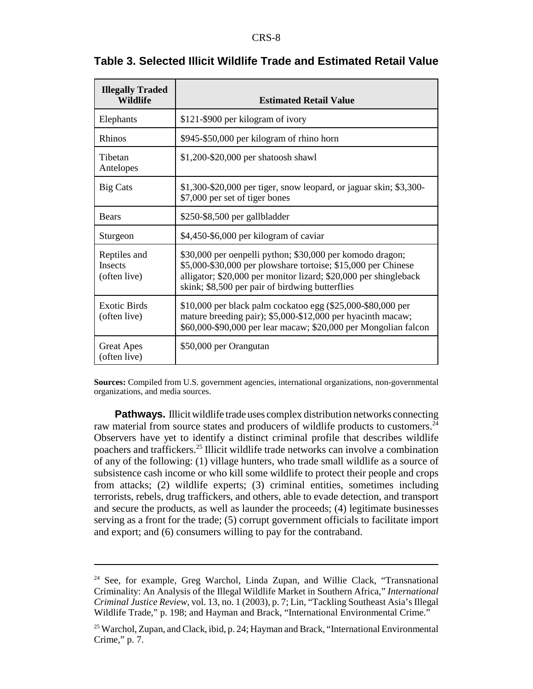| <b>Illegally Traded</b><br>Wildlife     | <b>Estimated Retail Value</b>                                                                                                                                                                                                                     |  |  |  |
|-----------------------------------------|---------------------------------------------------------------------------------------------------------------------------------------------------------------------------------------------------------------------------------------------------|--|--|--|
| Elephants                               | \$121-\$900 per kilogram of ivory                                                                                                                                                                                                                 |  |  |  |
| <b>Rhinos</b>                           | \$945-\$50,000 per kilogram of rhino horn                                                                                                                                                                                                         |  |  |  |
| Tibetan<br>Antelopes                    | \$1,200-\$20,000 per shatoosh shawl                                                                                                                                                                                                               |  |  |  |
| <b>Big Cats</b>                         | \$1,300-\$20,000 per tiger, snow leopard, or jaguar skin; \$3,300-<br>\$7,000 per set of tiger bones                                                                                                                                              |  |  |  |
| <b>Bears</b>                            | \$250-\$8,500 per gallbladder                                                                                                                                                                                                                     |  |  |  |
| Sturgeon                                | \$4,450-\$6,000 per kilogram of caviar                                                                                                                                                                                                            |  |  |  |
| Reptiles and<br>Insects<br>(often live) | \$30,000 per oenpelli python; \$30,000 per komodo dragon;<br>\$5,000-\$30,000 per plowshare tortoise; \$15,000 per Chinese<br>alligator; \$20,000 per monitor lizard; \$20,000 per shingleback<br>skink; \$8,500 per pair of birdwing butterflies |  |  |  |
| <b>Exotic Birds</b><br>(often live)     | \$10,000 per black palm cockatoo egg (\$25,000-\$80,000 per<br>mature breeding pair); \$5,000-\$12,000 per hyacinth macaw;<br>\$60,000-\$90,000 per lear macaw; \$20,000 per Mongolian falcon                                                     |  |  |  |
| <b>Great Apes</b><br>(often live)       | \$50,000 per Orangutan                                                                                                                                                                                                                            |  |  |  |

#### **Table 3. Selected Illicit Wildlife Trade and Estimated Retail Value**

**Sources:** Compiled from U.S. government agencies, international organizations, non-governmental organizations, and media sources.

**Pathways.** Illicit wildlife trade uses complex distribution networks connecting raw material from source states and producers of wildlife products to customers.<sup>24</sup> Observers have yet to identify a distinct criminal profile that describes wildlife poachers and traffickers.25 Illicit wildlife trade networks can involve a combination of any of the following: (1) village hunters, who trade small wildlife as a source of subsistence cash income or who kill some wildlife to protect their people and crops from attacks; (2) wildlife experts; (3) criminal entities, sometimes including terrorists, rebels, drug traffickers, and others, able to evade detection, and transport and secure the products, as well as launder the proceeds; (4) legitimate businesses serving as a front for the trade; (5) corrupt government officials to facilitate import and export; and (6) consumers willing to pay for the contraband.

 $24$  See, for example, Greg Warchol, Linda Zupan, and Willie Clack, "Transnational Criminality: An Analysis of the Illegal Wildlife Market in Southern Africa," *International Criminal Justice Review*, vol. 13, no. 1 (2003), p. 7; Lin, "Tackling Southeast Asia's Illegal Wildlife Trade," p. 198; and Hayman and Brack, "International Environmental Crime."

<sup>&</sup>lt;sup>25</sup> Warchol, Zupan, and Clack, ibid, p. 24; Hayman and Brack, "International Environmental" Crime," p. 7.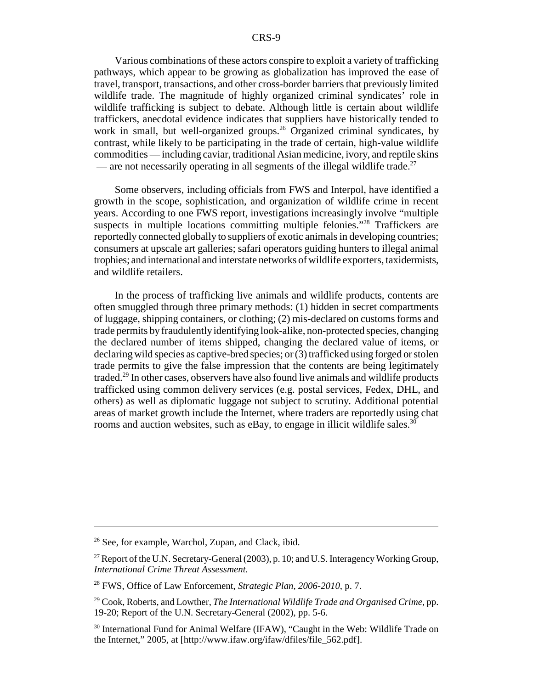Various combinations of these actors conspire to exploit a variety of trafficking pathways, which appear to be growing as globalization has improved the ease of travel, transport, transactions, and other cross-border barriers that previously limited wildlife trade. The magnitude of highly organized criminal syndicates' role in wildlife trafficking is subject to debate. Although little is certain about wildlife traffickers, anecdotal evidence indicates that suppliers have historically tended to work in small, but well-organized groups.<sup>26</sup> Organized criminal syndicates, by contrast, while likely to be participating in the trade of certain, high-value wildlife commodities — including caviar, traditional Asian medicine, ivory, and reptile skins — are not necessarily operating in all segments of the illegal wildlife trade.<sup>27</sup>

Some observers, including officials from FWS and Interpol, have identified a growth in the scope, sophistication, and organization of wildlife crime in recent years. According to one FWS report, investigations increasingly involve "multiple suspects in multiple locations committing multiple felonies."<sup>28</sup> Traffickers are reportedly connected globally to suppliers of exotic animals in developing countries; consumers at upscale art galleries; safari operators guiding hunters to illegal animal trophies; and international and interstate networks of wildlife exporters, taxidermists, and wildlife retailers.

In the process of trafficking live animals and wildlife products, contents are often smuggled through three primary methods: (1) hidden in secret compartments of luggage, shipping containers, or clothing; (2) mis-declared on customs forms and trade permits by fraudulently identifying look-alike, non-protected species, changing the declared number of items shipped, changing the declared value of items, or declaring wild species as captive-bred species; or (3) trafficked using forged or stolen trade permits to give the false impression that the contents are being legitimately traded.<sup>29</sup> In other cases, observers have also found live animals and wildlife products trafficked using common delivery services (e.g. postal services, Fedex, DHL, and others) as well as diplomatic luggage not subject to scrutiny. Additional potential areas of market growth include the Internet, where traders are reportedly using chat rooms and auction websites, such as eBay, to engage in illicit wildlife sales.<sup>30</sup>

<sup>&</sup>lt;sup>26</sup> See, for example, Warchol, Zupan, and Clack, ibid.

<sup>&</sup>lt;sup>27</sup> Report of the U.N. Secretary-General (2003), p. 10; and U.S. Interagency Working Group, *International Crime Threat Assessment.*

<sup>28</sup> FWS, Office of Law Enforcement, *Strategic Plan, 2006-2010*, p. 7.

<sup>29</sup> Cook, Roberts, and Lowther, *The International Wildlife Trade and Organised Crime*, pp. 19-20; Report of the U.N. Secretary-General (2002), pp. 5-6.

<sup>&</sup>lt;sup>30</sup> International Fund for Animal Welfare (IFAW), "Caught in the Web: Wildlife Trade on the Internet," 2005, at [http://www.ifaw.org/ifaw/dfiles/file\_562.pdf].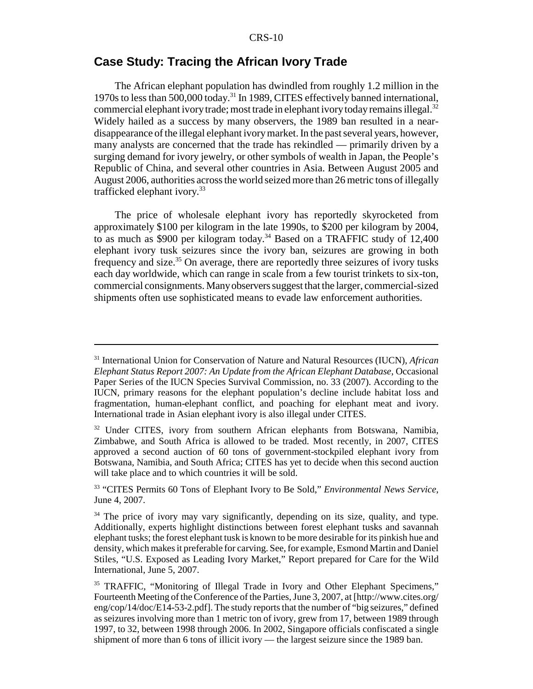### **Case Study: Tracing the African Ivory Trade**

The African elephant population has dwindled from roughly 1.2 million in the 1970s to less than 500,000 today.31 In 1989, CITES effectively banned international, commercial elephant ivory trade; most trade in elephant ivory today remains illegal.<sup>32</sup> Widely hailed as a success by many observers, the 1989 ban resulted in a neardisappearance of the illegal elephant ivory market. In the past several years, however, many analysts are concerned that the trade has rekindled — primarily driven by a surging demand for ivory jewelry, or other symbols of wealth in Japan, the People's Republic of China, and several other countries in Asia. Between August 2005 and August 2006, authorities across the world seized more than 26 metric tons of illegally trafficked elephant ivory.<sup>33</sup>

The price of wholesale elephant ivory has reportedly skyrocketed from approximately \$100 per kilogram in the late 1990s, to \$200 per kilogram by 2004, to as much as \$900 per kilogram today.<sup>34</sup> Based on a TRAFFIC study of 12,400 elephant ivory tusk seizures since the ivory ban, seizures are growing in both frequency and size.<sup>35</sup> On average, there are reportedly three seizures of ivory tusks each day worldwide, which can range in scale from a few tourist trinkets to six-ton, commercial consignments. Many observers suggest that the larger, commercial-sized shipments often use sophisticated means to evade law enforcement authorities.

<sup>31</sup> International Union for Conservation of Nature and Natural Resources (IUCN), *African Elephant Status Report 2007: An Update from the African Elephant Database*, Occasional Paper Series of the IUCN Species Survival Commission, no. 33 (2007). According to the IUCN, primary reasons for the elephant population's decline include habitat loss and fragmentation, human-elephant conflict, and poaching for elephant meat and ivory. International trade in Asian elephant ivory is also illegal under CITES.

<sup>&</sup>lt;sup>32</sup> Under CITES, ivory from southern African elephants from Botswana, Namibia, Zimbabwe, and South Africa is allowed to be traded. Most recently, in 2007, CITES approved a second auction of 60 tons of government-stockpiled elephant ivory from Botswana, Namibia, and South Africa; CITES has yet to decide when this second auction will take place and to which countries it will be sold.

<sup>33 &</sup>quot;CITES Permits 60 Tons of Elephant Ivory to Be Sold," *Environmental News Service*, June 4, 2007.

<sup>&</sup>lt;sup>34</sup> The price of ivory may vary significantly, depending on its size, quality, and type. Additionally, experts highlight distinctions between forest elephant tusks and savannah elephant tusks; the forest elephant tusk is known to be more desirable for its pinkish hue and density, which makes it preferable for carving. See, for example, Esmond Martin and Daniel Stiles, "U.S. Exposed as Leading Ivory Market," Report prepared for Care for the Wild International, June 5, 2007.

<sup>&</sup>lt;sup>35</sup> TRAFFIC, "Monitoring of Illegal Trade in Ivory and Other Elephant Specimens," Fourteenth Meeting of the Conference of the Parties, June 3, 2007, at [http://www.cites.org/ eng/cop/14/doc/E14-53-2.pdf]. The study reports that the number of "big seizures," defined as seizures involving more than 1 metric ton of ivory, grew from 17, between 1989 through 1997, to 32, between 1998 through 2006. In 2002, Singapore officials confiscated a single shipment of more than 6 tons of illicit ivory — the largest seizure since the 1989 ban.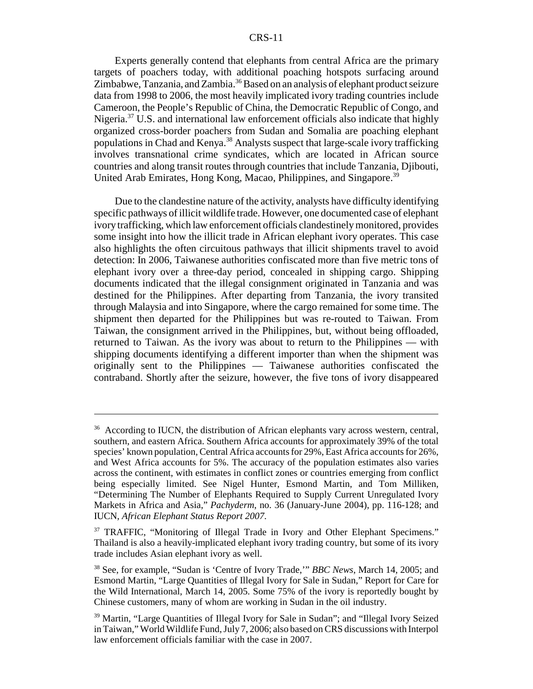Experts generally contend that elephants from central Africa are the primary targets of poachers today, with additional poaching hotspots surfacing around Zimbabwe, Tanzania, and Zambia.<sup>36</sup> Based on an analysis of elephant product seizure data from 1998 to 2006, the most heavily implicated ivory trading countries include Cameroon, the People's Republic of China, the Democratic Republic of Congo, and Nigeria.<sup>37</sup> U.S. and international law enforcement officials also indicate that highly organized cross-border poachers from Sudan and Somalia are poaching elephant populations in Chad and Kenya.38 Analysts suspect that large-scale ivory trafficking involves transnational crime syndicates, which are located in African source countries and along transit routes through countries that include Tanzania, Djibouti, United Arab Emirates, Hong Kong, Macao, Philippines, and Singapore.<sup>39</sup>

Due to the clandestine nature of the activity, analysts have difficulty identifying specific pathways of illicit wildlife trade. However, one documented case of elephant ivory trafficking, which law enforcement officials clandestinely monitored, provides some insight into how the illicit trade in African elephant ivory operates. This case also highlights the often circuitous pathways that illicit shipments travel to avoid detection: In 2006, Taiwanese authorities confiscated more than five metric tons of elephant ivory over a three-day period, concealed in shipping cargo. Shipping documents indicated that the illegal consignment originated in Tanzania and was destined for the Philippines. After departing from Tanzania, the ivory transited through Malaysia and into Singapore, where the cargo remained for some time. The shipment then departed for the Philippines but was re-routed to Taiwan. From Taiwan, the consignment arrived in the Philippines, but, without being offloaded, returned to Taiwan. As the ivory was about to return to the Philippines — with shipping documents identifying a different importer than when the shipment was originally sent to the Philippines — Taiwanese authorities confiscated the contraband. Shortly after the seizure, however, the five tons of ivory disappeared

<sup>&</sup>lt;sup>36</sup> According to IUCN, the distribution of African elephants vary across western, central, southern, and eastern Africa. Southern Africa accounts for approximately 39% of the total species' known population, Central Africa accounts for 29%, East Africa accounts for 26%, and West Africa accounts for 5%. The accuracy of the population estimates also varies across the continent, with estimates in conflict zones or countries emerging from conflict being especially limited. See Nigel Hunter, Esmond Martin, and Tom Milliken, "Determining The Number of Elephants Required to Supply Current Unregulated Ivory Markets in Africa and Asia," *Pachyderm*, no. 36 (January-June 2004), pp. 116-128; and IUCN, *African Elephant Status Report 2007*.

<sup>&</sup>lt;sup>37</sup> TRAFFIC, "Monitoring of Illegal Trade in Ivory and Other Elephant Specimens." Thailand is also a heavily-implicated elephant ivory trading country, but some of its ivory trade includes Asian elephant ivory as well.

<sup>38</sup> See, for example, "Sudan is 'Centre of Ivory Trade,'" *BBC News*, March 14, 2005; and Esmond Martin, "Large Quantities of Illegal Ivory for Sale in Sudan," Report for Care for the Wild International, March 14, 2005. Some 75% of the ivory is reportedly bought by Chinese customers, many of whom are working in Sudan in the oil industry.

<sup>39</sup> Martin, "Large Quantities of Illegal Ivory for Sale in Sudan"; and "Illegal Ivory Seized in Taiwan," World Wildlife Fund, July 7, 2006; also based on CRS discussions with Interpol law enforcement officials familiar with the case in 2007.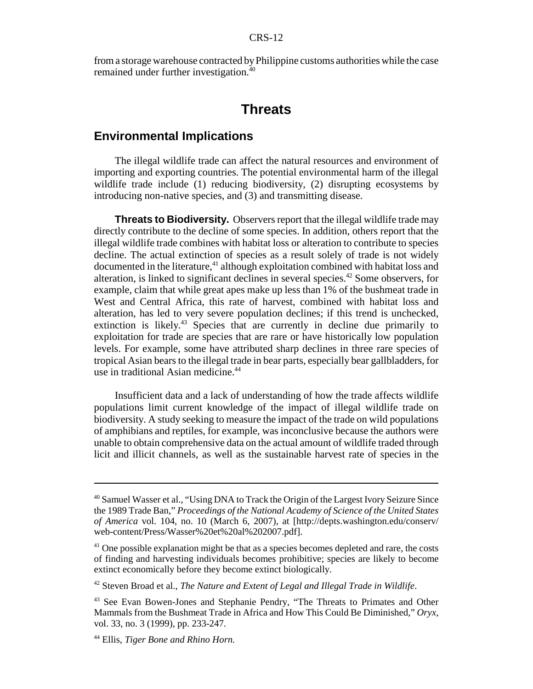from a storage warehouse contracted by Philippine customs authorities while the case remained under further investigation.<sup>40</sup>

## **Threats**

#### **Environmental Implications**

The illegal wildlife trade can affect the natural resources and environment of importing and exporting countries. The potential environmental harm of the illegal wildlife trade include (1) reducing biodiversity, (2) disrupting ecosystems by introducing non-native species, and (3) and transmitting disease.

**Threats to Biodiversity.** Observers report that the illegal wildlife trade may directly contribute to the decline of some species. In addition, others report that the illegal wildlife trade combines with habitat loss or alteration to contribute to species decline. The actual extinction of species as a result solely of trade is not widely documented in the literature,<sup>41</sup> although exploitation combined with habitat loss and alteration, is linked to significant declines in several species.42 Some observers, for example, claim that while great apes make up less than 1% of the bushmeat trade in West and Central Africa, this rate of harvest, combined with habitat loss and alteration, has led to very severe population declines; if this trend is unchecked, extinction is likely.<sup>43</sup> Species that are currently in decline due primarily to exploitation for trade are species that are rare or have historically low population levels. For example, some have attributed sharp declines in three rare species of tropical Asian bears to the illegal trade in bear parts, especially bear gallbladders, for use in traditional Asian medicine.<sup>44</sup>

Insufficient data and a lack of understanding of how the trade affects wildlife populations limit current knowledge of the impact of illegal wildlife trade on biodiversity. A study seeking to measure the impact of the trade on wild populations of amphibians and reptiles, for example, was inconclusive because the authors were unable to obtain comprehensive data on the actual amount of wildlife traded through licit and illicit channels, as well as the sustainable harvest rate of species in the

42 Steven Broad et al., *The Nature and Extent of Legal and Illegal Trade in Wildlife*.

<sup>40</sup> Samuel Wasser et al., "Using DNA to Track the Origin of the Largest Ivory Seizure Since the 1989 Trade Ban," *Proceedings of the National Academy of Science of the United States of America* vol. 104, no. 10 (March 6, 2007), at [http://depts.washington.edu/conserv/ web-content/Press/Wasser%20et%20al%202007.pdf].

 $41$  One possible explanation might be that as a species becomes depleted and rare, the costs of finding and harvesting individuals becomes prohibitive; species are likely to become extinct economically before they become extinct biologically.

<sup>&</sup>lt;sup>43</sup> See Evan Bowen-Jones and Stephanie Pendry, "The Threats to Primates and Other Mammals from the Bushmeat Trade in Africa and How This Could Be Diminished," *Oryx*, vol. 33, no. 3 (1999), pp. 233-247.

<sup>44</sup> Ellis, *Tiger Bone and Rhino Horn.*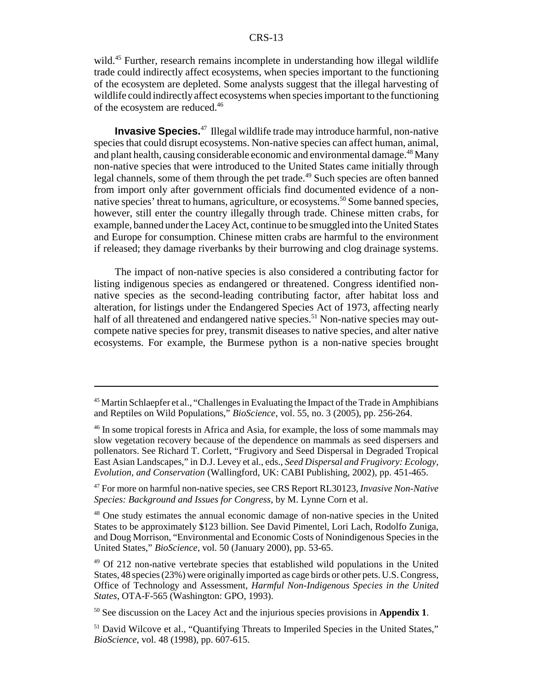wild.<sup>45</sup> Further, research remains incomplete in understanding how illegal wildlife trade could indirectly affect ecosystems, when species important to the functioning of the ecosystem are depleted. Some analysts suggest that the illegal harvesting of wildlife could indirectly affect ecosystems when species important to the functioning of the ecosystem are reduced.<sup>46</sup>

**Invasive Species.**<sup>47</sup> Illegal wildlife trade may introduce harmful, non-native species that could disrupt ecosystems. Non-native species can affect human, animal, and plant health, causing considerable economic and environmental damage.<sup>48</sup> Many non-native species that were introduced to the United States came initially through legal channels, some of them through the pet trade.<sup>49</sup> Such species are often banned from import only after government officials find documented evidence of a nonnative species' threat to humans, agriculture, or ecosystems.<sup>50</sup> Some banned species, however, still enter the country illegally through trade. Chinese mitten crabs, for example, banned under the Lacey Act, continue to be smuggled into the United States and Europe for consumption. Chinese mitten crabs are harmful to the environment if released; they damage riverbanks by their burrowing and clog drainage systems.

The impact of non-native species is also considered a contributing factor for listing indigenous species as endangered or threatened. Congress identified nonnative species as the second-leading contributing factor, after habitat loss and alteration, for listings under the Endangered Species Act of 1973, affecting nearly half of all threatened and endangered native species.<sup>51</sup> Non-native species may outcompete native species for prey, transmit diseases to native species, and alter native ecosystems. For example, the Burmese python is a non-native species brought

47 For more on harmful non-native species, see CRS Report RL30123, *Invasive Non-Native Species: Background and Issues for Congress*, by M. Lynne Corn et al.

48 One study estimates the annual economic damage of non-native species in the United States to be approximately \$123 billion. See David Pimentel, Lori Lach, Rodolfo Zuniga, and Doug Morrison, "Environmental and Economic Costs of Nonindigenous Species in the United States," *BioScience*, vol. 50 (January 2000), pp. 53-65.

<sup>&</sup>lt;sup>45</sup> Martin Schlaepfer et al., "Challenges in Evaluating the Impact of the Trade in Amphibians and Reptiles on Wild Populations," *BioScience*, vol. 55, no. 3 (2005), pp. 256-264.

<sup>&</sup>lt;sup>46</sup> In some tropical forests in Africa and Asia, for example, the loss of some mammals may slow vegetation recovery because of the dependence on mammals as seed dispersers and pollenators. See Richard T. Corlett, "Frugivory and Seed Dispersal in Degraded Tropical East Asian Landscapes," in D.J. Levey et al., eds., *Seed Dispersal and Frugivory: Ecology, Evolution, and Conservation* (Wallingford, UK: CABI Publishing, 2002), pp. 451-465.

<sup>49</sup> Of 212 non-native vertebrate species that established wild populations in the United States, 48 species (23%) were originally imported as cage birds or other pets. U.S. Congress, Office of Technology and Assessment, *Harmful Non-Indigenous Species in the United States*, OTA-F-565 (Washington: GPO, 1993).

<sup>50</sup> See discussion on the Lacey Act and the injurious species provisions in **Appendix 1**.

<sup>&</sup>lt;sup>51</sup> David Wilcove et al., "Quantifying Threats to Imperiled Species in the United States," *BioScience*, vol. 48 (1998), pp. 607-615.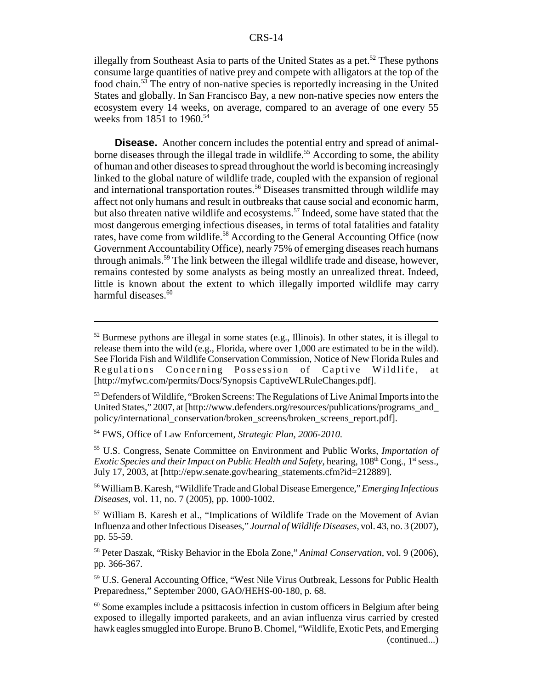illegally from Southeast Asia to parts of the United States as a pet.<sup>52</sup> These pythons consume large quantities of native prey and compete with alligators at the top of the food chain.53 The entry of non-native species is reportedly increasing in the United States and globally. In San Francisco Bay, a new non-native species now enters the ecosystem every 14 weeks, on average, compared to an average of one every 55 weeks from 1851 to 1960.<sup>54</sup>

**Disease.** Another concern includes the potential entry and spread of animalborne diseases through the illegal trade in wildlife.<sup>55</sup> According to some, the ability of human and other diseases to spread throughout the world is becoming increasingly linked to the global nature of wildlife trade, coupled with the expansion of regional and international transportation routes.<sup>56</sup> Diseases transmitted through wildlife may affect not only humans and result in outbreaks that cause social and economic harm, but also threaten native wildlife and ecosystems.<sup>57</sup> Indeed, some have stated that the most dangerous emerging infectious diseases, in terms of total fatalities and fatality rates, have come from wildlife.<sup>58</sup> According to the General Accounting Office (now Government Accountability Office), nearly 75% of emerging diseases reach humans through animals.59 The link between the illegal wildlife trade and disease, however, remains contested by some analysts as being mostly an unrealized threat. Indeed, little is known about the extent to which illegally imported wildlife may carry harmful diseases. $60$ 

56 William B. Karesh, "Wildlife Trade and Global Disease Emergence," *Emerging Infectious Diseases*, vol. 11, no. 7 (2005), pp. 1000-1002.

57 William B. Karesh et al., "Implications of Wildlife Trade on the Movement of Avian Influenza and other Infectious Diseases," *Journal of Wildlife Diseases*, vol. 43, no. 3 (2007), pp. 55-59.

58 Peter Daszak, "Risky Behavior in the Ebola Zone," *Animal Conservation,* vol. 9 (2006), pp. 366-367.

59 U.S. General Accounting Office, "West Nile Virus Outbreak, Lessons for Public Health Preparedness," September 2000, GAO/HEHS-00-180, p. 68.

 $60$  Some examples include a psittacosis infection in custom officers in Belgium after being exposed to illegally imported parakeets, and an avian influenza virus carried by crested hawk eagles smuggled into Europe. Bruno B. Chomel, "Wildlife, Exotic Pets, and Emerging (continued...)

 $52$  Burmese pythons are illegal in some states (e.g., Illinois). In other states, it is illegal to release them into the wild (e.g., Florida, where over  $1,000$  are estimated to be in the wild). See Florida Fish and Wildlife Conservation Commission, Notice of New Florida Rules and Regulations Concerning Possession of Captive Wildlife, at [http://myfwc.com/permits/Docs/Synopsis CaptiveWLRuleChanges.pdf].

<sup>&</sup>lt;sup>53</sup> Defenders of Wildlife, "Broken Screens: The Regulations of Live Animal Imports into the United States," 2007, at [http://www.defenders.org/resources/publications/programs\_and\_ policy/international\_conservation/broken\_screens/broken\_screens\_report.pdf].

<sup>54</sup> FWS, Office of Law Enforcement, *Strategic Plan, 2006-2010*.

<sup>55</sup> U.S. Congress, Senate Committee on Environment and Public Works, *Importation of Exotic Species and their Impact on Public Health and Safety*, hearing, 108<sup>th</sup> Cong., 1<sup>st</sup> sess., July 17, 2003, at [http://epw.senate.gov/hearing\_statements.cfm?id=212889].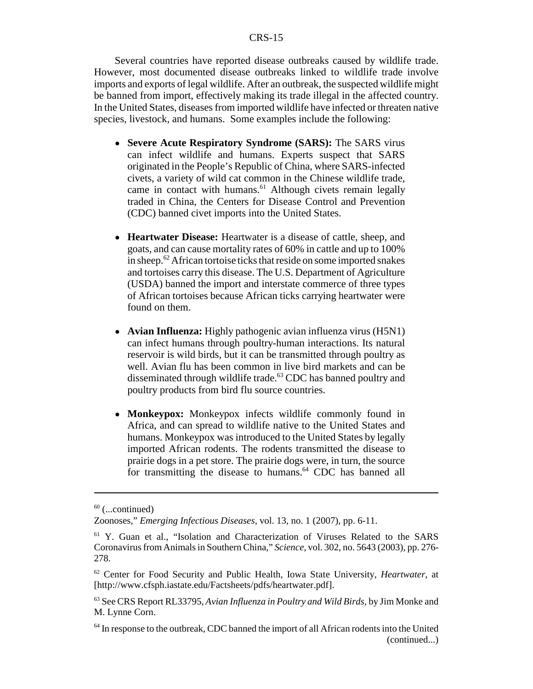Several countries have reported disease outbreaks caused by wildlife trade. However, most documented disease outbreaks linked to wildlife trade involve imports and exports of legal wildlife. After an outbreak, the suspected wildlife might be banned from import, effectively making its trade illegal in the affected country. In the United States, diseases from imported wildlife have infected or threaten native species, livestock, and humans. Some examples include the following:

- ! **Severe Acute Respiratory Syndrome (SARS):** The SARS virus can infect wildlife and humans. Experts suspect that SARS originated in the People's Republic of China, where SARS-infected civets, a variety of wild cat common in the Chinese wildlife trade, came in contact with humans. $61$  Although civets remain legally traded in China, the Centers for Disease Control and Prevention (CDC) banned civet imports into the United States.
- ! **Heartwater Disease:** Heartwater is a disease of cattle, sheep, and goats, and can cause mortality rates of 60% in cattle and up to 100% in sheep.62 African tortoise ticks that reside on some imported snakes and tortoises carry this disease. The U.S. Department of Agriculture (USDA) banned the import and interstate commerce of three types of African tortoises because African ticks carrying heartwater were found on them.
- ! **Avian Influenza:** Highly pathogenic avian influenza virus (H5N1) can infect humans through poultry-human interactions. Its natural reservoir is wild birds, but it can be transmitted through poultry as well. Avian flu has been common in live bird markets and can be disseminated through wildlife trade.<sup>63</sup> CDC has banned poultry and poultry products from bird flu source countries.
- **Monkeypox:** Monkeypox infects wildlife commonly found in Africa, and can spread to wildlife native to the United States and humans. Monkeypox was introduced to the United States by legally imported African rodents. The rodents transmitted the disease to prairie dogs in a pet store. The prairie dogs were, in turn, the source for transmitting the disease to humans.<sup>64</sup> CDC has banned all

 $60$  (...continued)

Zoonoses," *Emerging Infectious Diseases*, vol. 13, no. 1 (2007), pp. 6-11.

<sup>61</sup> Y. Guan et al., "Isolation and Characterization of Viruses Related to the SARS Coronavirus from Animals in Southern China," *Science*, vol. 302, no. 5643 (2003), pp. 276- 278.

<sup>62</sup> Center for Food Security and Public Health, Iowa State University, *Heartwater*, at [http://www.cfsph.iastate.edu/Factsheets/pdfs/heartwater.pdf].

<sup>63</sup> See CRS Report RL33795, *Avian Influenza in Poultry and Wild Birds*, by Jim Monke and M. Lynne Corn.

<sup>&</sup>lt;sup>64</sup> In response to the outbreak, CDC banned the import of all African rodents into the United (continued...)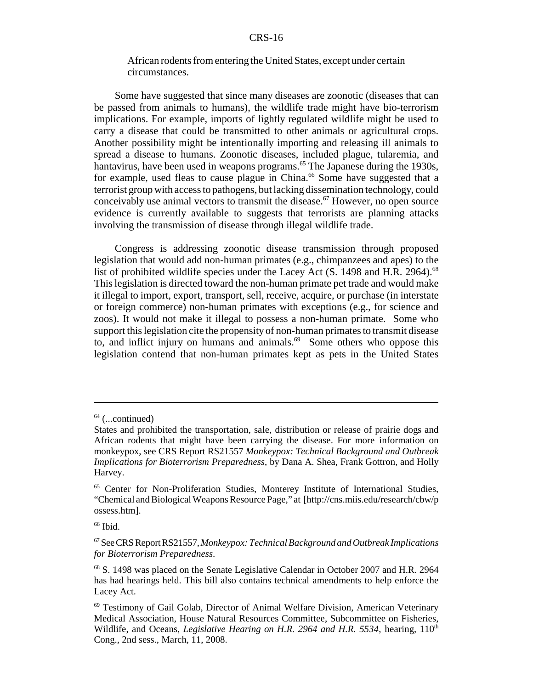#### African rodents from entering the United States, except under certain circumstances.

Some have suggested that since many diseases are zoonotic (diseases that can be passed from animals to humans), the wildlife trade might have bio-terrorism implications. For example, imports of lightly regulated wildlife might be used to carry a disease that could be transmitted to other animals or agricultural crops. Another possibility might be intentionally importing and releasing ill animals to spread a disease to humans. Zoonotic diseases, included plague, tularemia, and hantavirus, have been used in weapons programs.<sup>65</sup> The Japanese during the 1930s, for example, used fleas to cause plague in China.<sup>66</sup> Some have suggested that a terrorist group with access to pathogens, but lacking dissemination technology, could conceivably use animal vectors to transmit the disease.<sup> $67$ </sup> However, no open source evidence is currently available to suggests that terrorists are planning attacks involving the transmission of disease through illegal wildlife trade.

Congress is addressing zoonotic disease transmission through proposed legislation that would add non-human primates (e.g., chimpanzees and apes) to the list of prohibited wildlife species under the Lacey Act (S. 1498 and H.R. 2964).<sup>68</sup> This legislation is directed toward the non-human primate pet trade and would make it illegal to import, export, transport, sell, receive, acquire, or purchase (in interstate or foreign commerce) non-human primates with exceptions (e.g., for science and zoos). It would not make it illegal to possess a non-human primate. Some who support this legislation cite the propensity of non-human primates to transmit disease to, and inflict injury on humans and animals. $69$  Some others who oppose this legislation contend that non-human primates kept as pets in the United States

 $64$  (...continued)

States and prohibited the transportation, sale, distribution or release of prairie dogs and African rodents that might have been carrying the disease. For more information on monkeypox, see CRS Report RS21557 *Monkeypox: Technical Background and Outbreak Implications for Bioterrorism Preparedness*, by Dana A. Shea, Frank Gottron, and Holly Harvey.

<sup>&</sup>lt;sup>65</sup> Center for Non-Proliferation Studies, Monterey Institute of International Studies, "Chemical and Biological Weapons Resource Page," at [http://cns.miis.edu/research/cbw/p ossess.htm].

 $66$  Ibid.

<sup>67</sup> See CRS Report RS21557, *Monkeypox: Technical Background and Outbreak Implications for Bioterrorism Preparedness*.

<sup>&</sup>lt;sup>68</sup> S. 1498 was placed on the Senate Legislative Calendar in October 2007 and H.R. 2964 has had hearings held. This bill also contains technical amendments to help enforce the Lacey Act.

<sup>69</sup> Testimony of Gail Golab, Director of Animal Welfare Division, American Veterinary Medical Association, House Natural Resources Committee, Subcommittee on Fisheries, Wildlife, and Oceans, *Legislative Hearing on H.R. 2964 and H.R. 5534*, hearing, 110<sup>th</sup> Cong., 2nd sess., March, 11, 2008.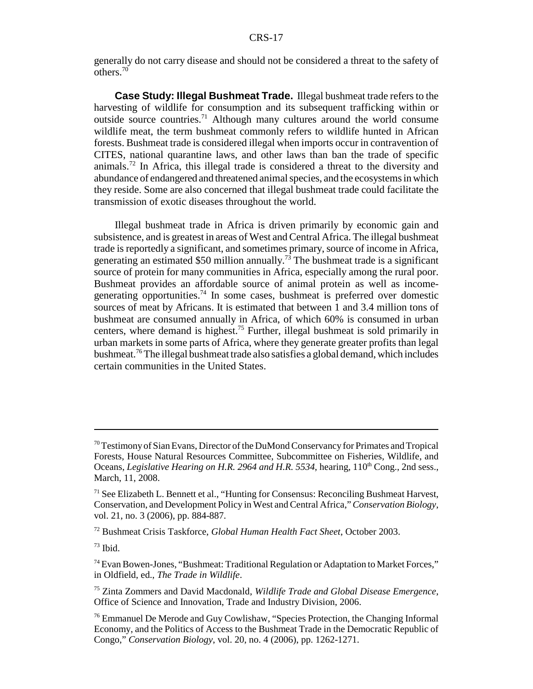generally do not carry disease and should not be considered a threat to the safety of others.70

**Case Study: Illegal Bushmeat Trade.** Illegal bushmeat trade refers to the harvesting of wildlife for consumption and its subsequent trafficking within or outside source countries.<sup>71</sup> Although many cultures around the world consume wildlife meat, the term bushmeat commonly refers to wildlife hunted in African forests. Bushmeat trade is considered illegal when imports occur in contravention of CITES, national quarantine laws, and other laws than ban the trade of specific animals.<sup>72</sup> In Africa, this illegal trade is considered a threat to the diversity and abundance of endangered and threatened animal species, and the ecosystems in which they reside. Some are also concerned that illegal bushmeat trade could facilitate the transmission of exotic diseases throughout the world.

Illegal bushmeat trade in Africa is driven primarily by economic gain and subsistence, and is greatest in areas of West and Central Africa. The illegal bushmeat trade is reportedly a significant, and sometimes primary, source of income in Africa, generating an estimated \$50 million annually.<sup>73</sup> The bushmeat trade is a significant source of protein for many communities in Africa, especially among the rural poor. Bushmeat provides an affordable source of animal protein as well as incomegenerating opportunities.<sup>74</sup> In some cases, bushmeat is preferred over domestic sources of meat by Africans. It is estimated that between 1 and 3.4 million tons of bushmeat are consumed annually in Africa, of which 60% is consumed in urban centers, where demand is highest.<sup>75</sup> Further, illegal bushmeat is sold primarily in urban markets in some parts of Africa, where they generate greater profits than legal bushmeat.76 The illegal bushmeat trade also satisfies a global demand, which includes certain communities in the United States.

72 Bushmeat Crisis Taskforce, *Global Human Health Fact Sheet*, October 2003.

 $73$  Ibid.

75 Zinta Zommers and David Macdonald, *Wildlife Trade and Global Disease Emergence*, Office of Science and Innovation, Trade and Industry Division, 2006.

 $70$  Testimony of Sian Evans, Director of the DuMond Conservancy for Primates and Tropical Forests, House Natural Resources Committee, Subcommittee on Fisheries, Wildlife, and Oceans, *Legislative Hearing on H.R. 2964 and H.R. 5534*, hearing, 110<sup>th</sup> Cong., 2nd sess., March, 11, 2008.

<sup>&</sup>lt;sup>71</sup> See Elizabeth L. Bennett et al., "Hunting for Consensus: Reconciling Bushmeat Harvest, Conservation, and Development Policy in West and Central Africa," *Conservation Biology*, vol. 21, no. 3 (2006), pp. 884-887.

<sup>74</sup> Evan Bowen-Jones, "Bushmeat: Traditional Regulation or Adaptation to Market Forces," in Oldfield, ed., *The Trade in Wildlife*.

<sup>76</sup> Emmanuel De Merode and Guy Cowlishaw, "Species Protection, the Changing Informal Economy, and the Politics of Access to the Bushmeat Trade in the Democratic Republic of Congo," *Conservation Biology*, vol. 20, no. 4 (2006), pp. 1262-1271.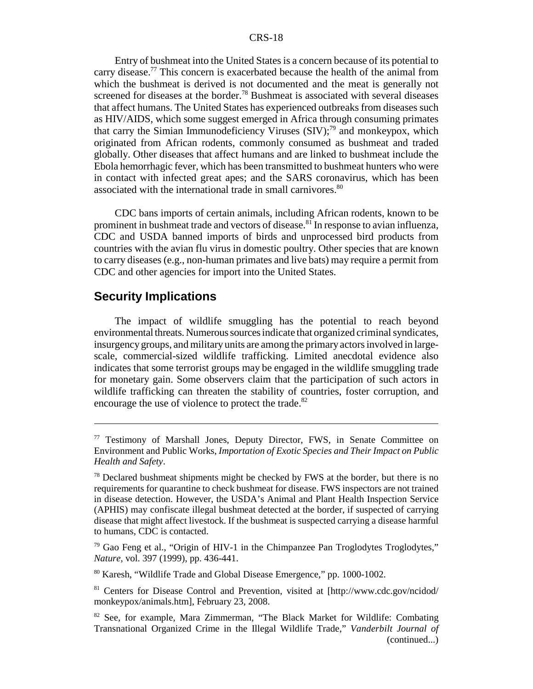Entry of bushmeat into the United States is a concern because of its potential to carry disease.77 This concern is exacerbated because the health of the animal from which the bushmeat is derived is not documented and the meat is generally not screened for diseases at the border.<sup>78</sup> Bushmeat is associated with several diseases that affect humans. The United States has experienced outbreaks from diseases such as HIV/AIDS, which some suggest emerged in Africa through consuming primates that carry the Simian Immunodeficiency Viruses  $(SIV)$ ;<sup>79</sup> and monkeypox, which originated from African rodents, commonly consumed as bushmeat and traded globally. Other diseases that affect humans and are linked to bushmeat include the Ebola hemorrhagic fever, which has been transmitted to bushmeat hunters who were in contact with infected great apes; and the SARS coronavirus, which has been associated with the international trade in small carnivores.<sup>80</sup>

CDC bans imports of certain animals, including African rodents, known to be prominent in bushmeat trade and vectors of disease.<sup>81</sup> In response to avian influenza, CDC and USDA banned imports of birds and unprocessed bird products from countries with the avian flu virus in domestic poultry. Other species that are known to carry diseases (e.g., non-human primates and live bats) may require a permit from CDC and other agencies for import into the United States.

#### **Security Implications**

The impact of wildlife smuggling has the potential to reach beyond environmental threats. Numerous sources indicate that organized criminal syndicates, insurgency groups, and military units are among the primary actors involved in largescale, commercial-sized wildlife trafficking. Limited anecdotal evidence also indicates that some terrorist groups may be engaged in the wildlife smuggling trade for monetary gain. Some observers claim that the participation of such actors in wildlife trafficking can threaten the stability of countries, foster corruption, and encourage the use of violence to protect the trade.<sup>82</sup>

 $79$  Gao Feng et al., "Origin of HIV-1 in the Chimpanzee Pan Troglodytes Troglodytes," *Nature*, vol. 397 (1999), pp. 436-441.

80 Karesh, "Wildlife Trade and Global Disease Emergence," pp. 1000-1002.

81 Centers for Disease Control and Prevention, visited at [http://www.cdc.gov/ncidod/ monkeypox/animals.htm], February 23, 2008.

<sup>77</sup> Testimony of Marshall Jones, Deputy Director, FWS, in Senate Committee on Environment and Public Works, *Importation of Exotic Species and Their Impact on Public Health and Safety*.

 $78$  Declared bushmeat shipments might be checked by FWS at the border, but there is no requirements for quarantine to check bushmeat for disease. FWS inspectors are not trained in disease detection. However, the USDA's Animal and Plant Health Inspection Service (APHIS) may confiscate illegal bushmeat detected at the border, if suspected of carrying disease that might affect livestock. If the bushmeat is suspected carrying a disease harmful to humans, CDC is contacted.

<sup>&</sup>lt;sup>82</sup> See, for example, Mara Zimmerman, "The Black Market for Wildlife: Combating Transnational Organized Crime in the Illegal Wildlife Trade," *Vanderbilt Journal of* (continued...)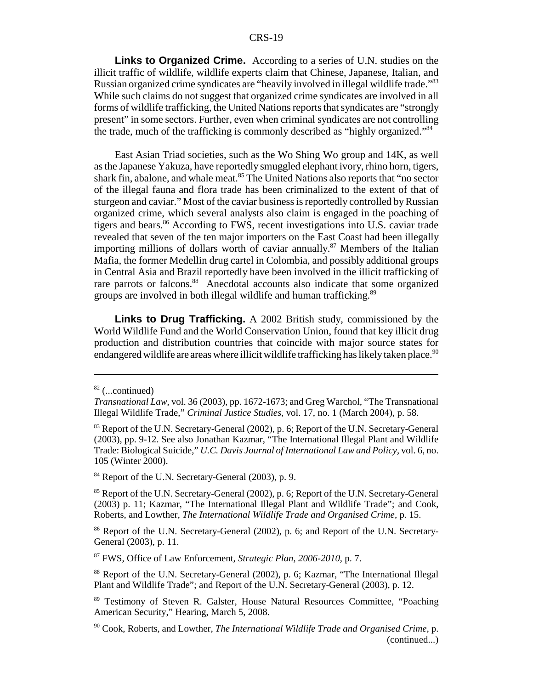**Links to Organized Crime.** According to a series of U.N. studies on the illicit traffic of wildlife, wildlife experts claim that Chinese, Japanese, Italian, and Russian organized crime syndicates are "heavily involved in illegal wildlife trade."<sup>83</sup> While such claims do not suggest that organized crime syndicates are involved in all forms of wildlife trafficking, the United Nations reports that syndicates are "strongly present" in some sectors. Further, even when criminal syndicates are not controlling the trade, much of the trafficking is commonly described as "highly organized."<sup>84</sup>

East Asian Triad societies, such as the Wo Shing Wo group and 14K, as well as the Japanese Yakuza, have reportedly smuggled elephant ivory, rhino horn, tigers, shark fin, abalone, and whale meat.<sup>85</sup> The United Nations also reports that "no sector of the illegal fauna and flora trade has been criminalized to the extent of that of sturgeon and caviar." Most of the caviar business is reportedly controlled by Russian organized crime, which several analysts also claim is engaged in the poaching of tigers and bears.<sup>86</sup> According to FWS, recent investigations into U.S. caviar trade revealed that seven of the ten major importers on the East Coast had been illegally importing millions of dollars worth of caviar annually.<sup>87</sup> Members of the Italian Mafia, the former Medellin drug cartel in Colombia, and possibly additional groups in Central Asia and Brazil reportedly have been involved in the illicit trafficking of rare parrots or falcons.<sup>88</sup> Anecdotal accounts also indicate that some organized groups are involved in both illegal wildlife and human trafficking.<sup>89</sup>

**Links to Drug Trafficking.** A 2002 British study, commissioned by the World Wildlife Fund and the World Conservation Union, found that key illicit drug production and distribution countries that coincide with major source states for endangered wildlife are areas where illicit wildlife trafficking has likely taken place.<sup>90</sup>

 $82$  (...continued)

*Transnational Law*, vol. 36 (2003), pp. 1672-1673; and Greg Warchol, "The Transnational Illegal Wildlife Trade," *Criminal Justice Studies*, vol. 17, no. 1 (March 2004), p. 58.

<sup>&</sup>lt;sup>83</sup> Report of the U.N. Secretary-General (2002), p. 6; Report of the U.N. Secretary-General (2003), pp. 9-12. See also Jonathan Kazmar, "The International Illegal Plant and Wildlife Trade: Biological Suicide," *U.C. Davis Journal of International Law and Policy*, vol. 6, no. 105 (Winter 2000).

<sup>84</sup> Report of the U.N. Secretary-General (2003), p. 9.

<sup>85</sup> Report of the U.N. Secretary-General (2002), p. 6; Report of the U.N. Secretary-General (2003) p. 11; Kazmar, "The International Illegal Plant and Wildlife Trade"; and Cook, Roberts, and Lowther, *The International Wildlife Trade and Organised Crime*, p. 15.

<sup>86</sup> Report of the U.N. Secretary-General (2002), p. 6; and Report of the U.N. Secretary-General (2003), p. 11.

<sup>87</sup> FWS, Office of Law Enforcement, *Strategic Plan, 2006-2010*, p. 7.

<sup>88</sup> Report of the U.N. Secretary-General (2002), p. 6; Kazmar, "The International Illegal Plant and Wildlife Trade"; and Report of the U.N. Secretary-General (2003), p. 12.

<sup>89</sup> Testimony of Steven R. Galster, House Natural Resources Committee, "Poaching American Security," Hearing, March 5, 2008.

<sup>90</sup> Cook, Roberts, and Lowther, *The International Wildlife Trade and Organised Crime*, p. (continued...)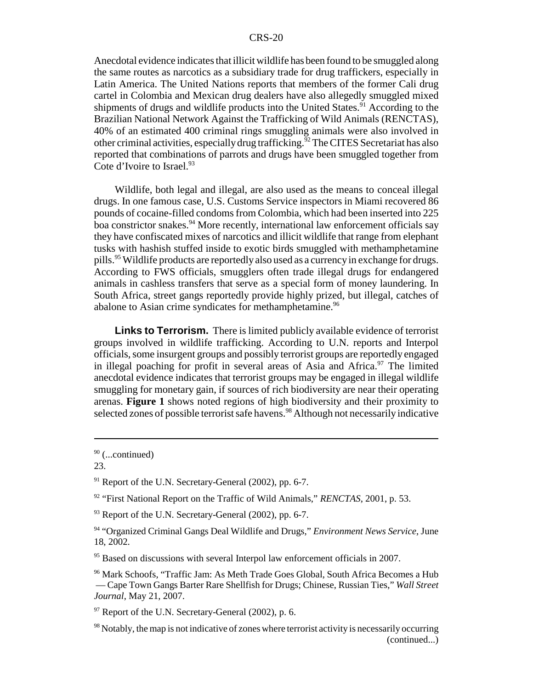Anecdotal evidence indicates that illicit wildlife has been found to be smuggled along the same routes as narcotics as a subsidiary trade for drug traffickers, especially in Latin America. The United Nations reports that members of the former Cali drug cartel in Colombia and Mexican drug dealers have also allegedly smuggled mixed shipments of drugs and wildlife products into the United States.<sup>91</sup> According to the Brazilian National Network Against the Trafficking of Wild Animals (RENCTAS), 40% of an estimated 400 criminal rings smuggling animals were also involved in other criminal activities, especially drug trafficking.<sup>92</sup> The CITES Secretariat has also reported that combinations of parrots and drugs have been smuggled together from Cote d'Ivoire to Israel.<sup>93</sup>

Wildlife, both legal and illegal, are also used as the means to conceal illegal drugs. In one famous case, U.S. Customs Service inspectors in Miami recovered 86 pounds of cocaine-filled condoms from Colombia, which had been inserted into 225 boa constrictor snakes.<sup>94</sup> More recently, international law enforcement officials say they have confiscated mixes of narcotics and illicit wildlife that range from elephant tusks with hashish stuffed inside to exotic birds smuggled with methamphetamine pills.<sup>95</sup> Wildlife products are reportedly also used as a currency in exchange for drugs. According to FWS officials, smugglers often trade illegal drugs for endangered animals in cashless transfers that serve as a special form of money laundering. In South Africa, street gangs reportedly provide highly prized, but illegal, catches of abalone to Asian crime syndicates for methamphetamine.<sup>96</sup>

**Links to Terrorism.** There is limited publicly available evidence of terrorist groups involved in wildlife trafficking. According to U.N. reports and Interpol officials, some insurgent groups and possibly terrorist groups are reportedly engaged in illegal poaching for profit in several areas of Asia and Africa.<sup>97</sup> The limited anecdotal evidence indicates that terrorist groups may be engaged in illegal wildlife smuggling for monetary gain, if sources of rich biodiversity are near their operating arenas. **Figure 1** shows noted regions of high biodiversity and their proximity to selected zones of possible terrorist safe havens.<sup>98</sup> Although not necessarily indicative

 $93$  Report of the U.N. Secretary-General (2002), pp. 6-7.

<sup>95</sup> Based on discussions with several Interpol law enforcement officials in 2007.

96 Mark Schoofs, "Traffic Jam: As Meth Trade Goes Global, South Africa Becomes a Hub — Cape Town Gangs Barter Rare Shellfish for Drugs; Chinese, Russian Ties," *Wall Street Journal*, May 21, 2007.

 $97$  Report of the U.N. Secretary-General (2002), p. 6.

 $90$  (...continued)

<sup>23.</sup>

 $91$  Report of the U.N. Secretary-General (2002), pp. 6-7.

<sup>92 &</sup>quot;First National Report on the Traffic of Wild Animals," *RENCTAS*, 2001, p. 53.

<sup>94 &</sup>quot;Organized Criminal Gangs Deal Wildlife and Drugs," *Environment News Service*, June 18, 2002.

<sup>&</sup>lt;sup>98</sup> Notably, the map is not indicative of zones where terrorist activity is necessarily occurring (continued...)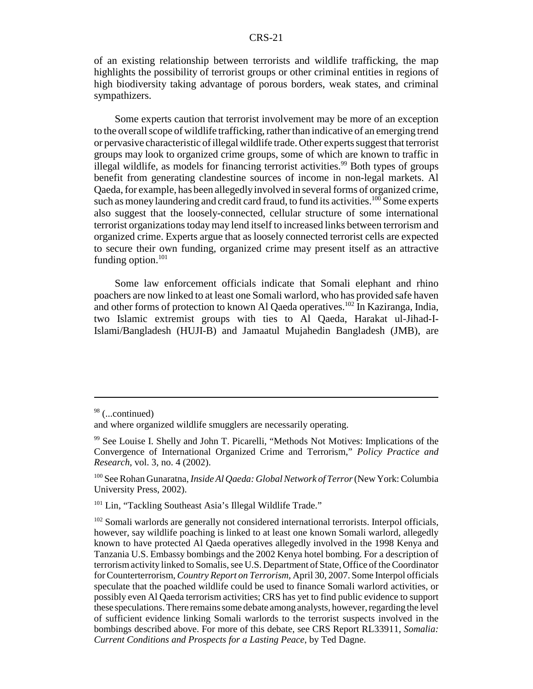of an existing relationship between terrorists and wildlife trafficking, the map highlights the possibility of terrorist groups or other criminal entities in regions of high biodiversity taking advantage of porous borders, weak states, and criminal sympathizers.

Some experts caution that terrorist involvement may be more of an exception to the overall scope of wildlife trafficking, rather than indicative of an emerging trend or pervasive characteristic of illegal wildlife trade. Other experts suggest that terrorist groups may look to organized crime groups, some of which are known to traffic in illegal wildlife, as models for financing terrorist activities.<sup>99</sup> Both types of groups benefit from generating clandestine sources of income in non-legal markets. Al Qaeda, for example, has been allegedly involved in several forms of organized crime, such as money laundering and credit card fraud, to fund its activities.<sup>100</sup> Some experts also suggest that the loosely-connected, cellular structure of some international terrorist organizations today may lend itself to increased links between terrorism and organized crime. Experts argue that as loosely connected terrorist cells are expected to secure their own funding, organized crime may present itself as an attractive funding option. $101$ 

Some law enforcement officials indicate that Somali elephant and rhino poachers are now linked to at least one Somali warlord, who has provided safe haven and other forms of protection to known Al Qaeda operatives.<sup>102</sup> In Kaziranga, India, two Islamic extremist groups with ties to Al Qaeda, Harakat ul-Jihad-I-Islami/Bangladesh (HUJI-B) and Jamaatul Mujahedin Bangladesh (JMB), are

<sup>98 (...</sup>continued)

and where organized wildlife smugglers are necessarily operating.

<sup>&</sup>lt;sup>99</sup> See Louise I. Shelly and John T. Picarelli, "Methods Not Motives: Implications of the Convergence of International Organized Crime and Terrorism," *Policy Practice and Research*, vol. 3, no. 4 (2002).

<sup>100</sup> See Rohan Gunaratna, *Inside Al Qaeda: Global Network of Terror* (New York: Columbia University Press, 2002).

<sup>&</sup>lt;sup>101</sup> Lin, "Tackling Southeast Asia's Illegal Wildlife Trade."

 $102$  Somali warlords are generally not considered international terrorists. Interpol officials, however, say wildlife poaching is linked to at least one known Somali warlord, allegedly known to have protected Al Qaeda operatives allegedly involved in the 1998 Kenya and Tanzania U.S. Embassy bombings and the 2002 Kenya hotel bombing. For a description of terrorism activity linked to Somalis, see U.S. Department of State, Office of the Coordinator for Counterterrorism, *Country Report on Terrorism*, April 30, 2007. Some Interpol officials speculate that the poached wildlife could be used to finance Somali warlord activities, or possibly even Al Qaeda terrorism activities; CRS has yet to find public evidence to support these speculations. There remains some debate among analysts, however, regarding the level of sufficient evidence linking Somali warlords to the terrorist suspects involved in the bombings described above. For more of this debate, see CRS Report RL33911, *Somalia: Current Conditions and Prospects for a Lasting Peace*, by Ted Dagne.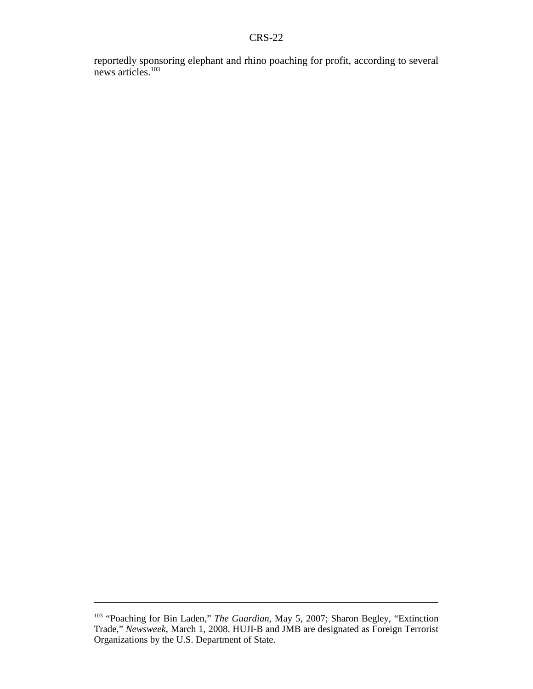reportedly sponsoring elephant and rhino poaching for profit, according to several news articles.<sup>103</sup>

<sup>103 &</sup>quot;Poaching for Bin Laden," *The Guardian*, May 5, 2007; Sharon Begley, "Extinction Trade," *Newsweek*, March 1, 2008. HUJI-B and JMB are designated as Foreign Terrorist Organizations by the U.S. Department of State.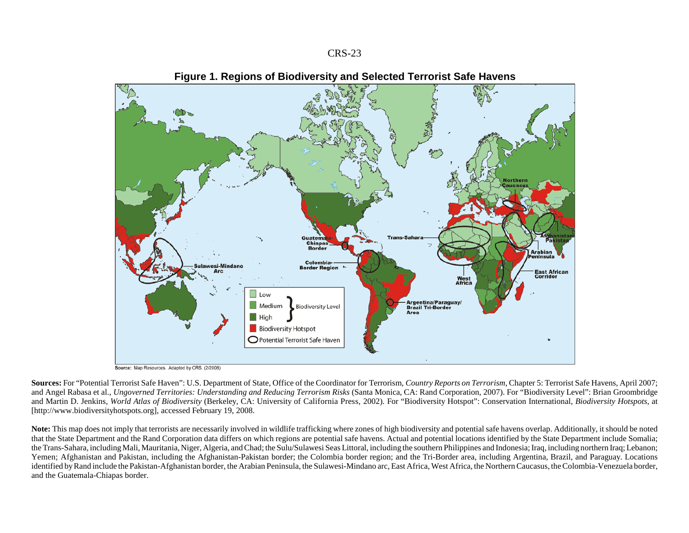

**Figure 1. Regions of Biodiversity and Selected Terrorist Safe Havens**

Source: Map Resources. Adapted by CRS. (2/2008)

**Sources:** For "Potential Terrorist Safe Haven": U.S. Department of State, Office of the Coordinator for Terrorism, *Country Reports on Terrorism*, Chapter 5: Terrorist Safe Havens, April 2007; and Angel Rabasa et al., *Ungoverned Territories: Understanding and Reducing Terrorism Risks* (Santa Monica, CA: Rand Corporation, 2007). For "Biodiversity Level": Brian Groombridge and Martin D. Jenkins, *World Atlas of Biodiversity* (Berkeley, CA: University of California Press, 2002). For "Biodiversity Hotspot": Conservation International, *Biodiversity Hotspots*, at [http://www.biodiversityhotspots.org], accessed February 19, 2008.

Note: This map does not imply that terrorists are necessarily involved in wildlife trafficking where zones of high biodiversity and potential safe havens overlap. Additionally, it should be noted that the State Department and the Rand Corporation data differs on which regions are potential safe havens. Actual and potential locations identified by the State Department include Somalia; the Trans-Sahara, including Mali, Mauritania, Niger, Algeria, and Chad; the Sulu/Sulawesi Seas Littoral, including the southern Philippines and Indonesia; Iraq, including northern Iraq; Lebanon; Yemen; Afghanistan and Pakistan, including the Afghanistan-Pakistan border; the Colombia border region; and the Tri-Border area, including Argentina, Brazil, and Paraguay. Locations identified by Rand include the Pakistan-Afghanistan border, the Arabian Peninsula, the Sulawesi-Mindano arc, East Africa, West Africa, the Northern Caucasus, the Colombia-Venezuela border, and the Guatemala-Chiapas border.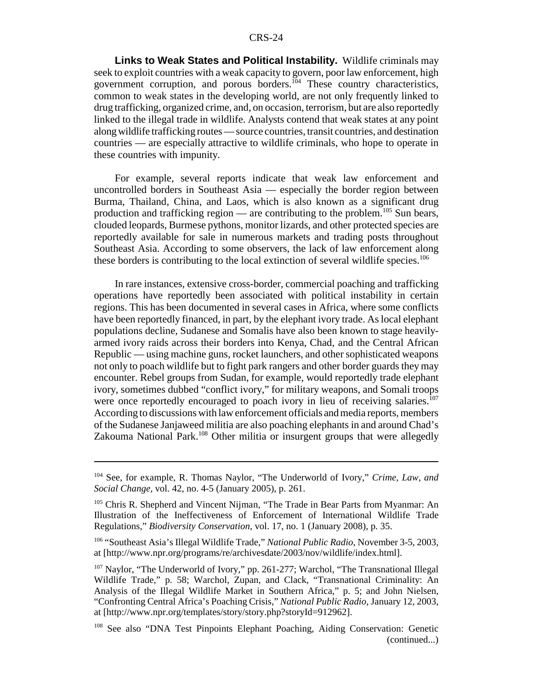**Links to Weak States and Political Instability.** Wildlife criminals may seek to exploit countries with a weak capacity to govern, poor law enforcement, high government corruption, and porous borders.<sup>104</sup> These country characteristics, common to weak states in the developing world, are not only frequently linked to drug trafficking, organized crime, and, on occasion, terrorism, but are also reportedly linked to the illegal trade in wildlife. Analysts contend that weak states at any point along wildlife trafficking routes — source countries, transit countries, and destination countries — are especially attractive to wildlife criminals, who hope to operate in these countries with impunity.

For example, several reports indicate that weak law enforcement and uncontrolled borders in Southeast Asia — especially the border region between Burma, Thailand, China, and Laos, which is also known as a significant drug production and trafficking region — are contributing to the problem.<sup>105</sup> Sun bears, clouded leopards, Burmese pythons, monitor lizards, and other protected species are reportedly available for sale in numerous markets and trading posts throughout Southeast Asia. According to some observers, the lack of law enforcement along these borders is contributing to the local extinction of several wildlife species.<sup>106</sup>

In rare instances, extensive cross-border, commercial poaching and trafficking operations have reportedly been associated with political instability in certain regions. This has been documented in several cases in Africa, where some conflicts have been reportedly financed, in part, by the elephant ivory trade. As local elephant populations decline, Sudanese and Somalis have also been known to stage heavilyarmed ivory raids across their borders into Kenya, Chad, and the Central African Republic — using machine guns, rocket launchers, and other sophisticated weapons not only to poach wildlife but to fight park rangers and other border guards they may encounter. Rebel groups from Sudan, for example, would reportedly trade elephant ivory, sometimes dubbed "conflict ivory," for military weapons, and Somali troops were once reportedly encouraged to poach ivory in lieu of receiving salaries.<sup>107</sup> According to discussions with law enforcement officials and media reports, members of the Sudanese Janjaweed militia are also poaching elephants in and around Chad's Zakouma National Park.<sup>108</sup> Other militia or insurgent groups that were allegedly

<sup>104</sup> See, for example, R. Thomas Naylor, "The Underworld of Ivory," *Crime, Law, and Social Change,* vol. 42, no. 4-5 (January 2005), p. 261.

<sup>&</sup>lt;sup>105</sup> Chris R. Shepherd and Vincent Nijman, "The Trade in Bear Parts from Myanmar: An Illustration of the Ineffectiveness of Enforcement of International Wildlife Trade Regulations," *Biodiversity Conservation*, vol. 17, no. 1 (January 2008), p. 35.

<sup>106 &</sup>quot;Southeast Asia's Illegal Wildlife Trade," *National Public Radio*, November 3-5, 2003, at [http://www.npr.org/programs/re/archivesdate/2003/nov/wildlife/index.html].

<sup>&</sup>lt;sup>107</sup> Naylor, "The Underworld of Ivory," pp. 261-277; Warchol, "The Transnational Illegal Wildlife Trade," p. 58; Warchol, Zupan, and Clack, "Transnational Criminality: An Analysis of the Illegal Wildlife Market in Southern Africa," p. 5; and John Nielsen, "Confronting Central Africa's Poaching Crisis," *National Public Radio*, January 12, 2003, at [http://www.npr.org/templates/story/story.php?storyId=912962].

<sup>108</sup> See also "DNA Test Pinpoints Elephant Poaching, Aiding Conservation: Genetic (continued...)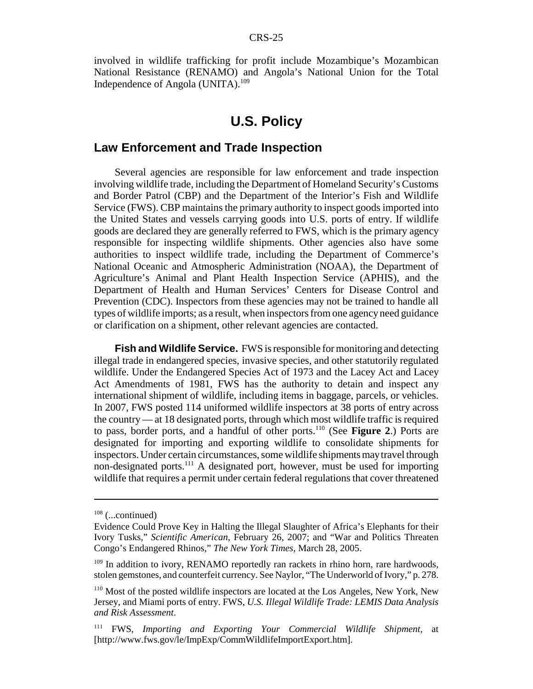involved in wildlife trafficking for profit include Mozambique's Mozambican National Resistance (RENAMO) and Angola's National Union for the Total Independence of Angola (UNITA).109

## **U.S. Policy**

### **Law Enforcement and Trade Inspection**

Several agencies are responsible for law enforcement and trade inspection involving wildlife trade, including the Department of Homeland Security's Customs and Border Patrol (CBP) and the Department of the Interior's Fish and Wildlife Service (FWS). CBP maintains the primary authority to inspect goods imported into the United States and vessels carrying goods into U.S. ports of entry. If wildlife goods are declared they are generally referred to FWS, which is the primary agency responsible for inspecting wildlife shipments. Other agencies also have some authorities to inspect wildlife trade, including the Department of Commerce's National Oceanic and Atmospheric Administration (NOAA), the Department of Agriculture's Animal and Plant Health Inspection Service (APHIS), and the Department of Health and Human Services' Centers for Disease Control and Prevention (CDC). Inspectors from these agencies may not be trained to handle all types of wildlife imports; as a result, when inspectors from one agency need guidance or clarification on a shipment, other relevant agencies are contacted.

**Fish and Wildlife Service.** FWS is responsible for monitoring and detecting illegal trade in endangered species, invasive species, and other statutorily regulated wildlife. Under the Endangered Species Act of 1973 and the Lacey Act and Lacey Act Amendments of 1981, FWS has the authority to detain and inspect any international shipment of wildlife, including items in baggage, parcels, or vehicles. In 2007, FWS posted 114 uniformed wildlife inspectors at 38 ports of entry across the country — at 18 designated ports, through which most wildlife traffic is required to pass, border ports, and a handful of other ports.110 (See **Figure 2**.) Ports are designated for importing and exporting wildlife to consolidate shipments for inspectors. Under certain circumstances, some wildlife shipments may travel through non-designated ports.111 A designated port, however, must be used for importing wildlife that requires a permit under certain federal regulations that cover threatened

 $108$  (...continued)

Evidence Could Prove Key in Halting the Illegal Slaughter of Africa's Elephants for their Ivory Tusks," *Scientific American*, February 26, 2007; and "War and Politics Threaten Congo's Endangered Rhinos," *The New York Times*, March 28, 2005.

 $109$  In addition to ivory, RENAMO reportedly ran rackets in rhino horn, rare hardwoods, stolen gemstones, and counterfeit currency. See Naylor, "The Underworld of Ivory," p. 278.

<sup>110</sup> Most of the posted wildlife inspectors are located at the Los Angeles, New York, New Jersey, and Miami ports of entry. FWS, *U.S. Illegal Wildlife Trade: LEMIS Data Analysis and Risk Assessment*.

<sup>111</sup> FWS, *Importing and Exporting Your Commercial Wildlife Shipment*, at [http://www.fws.gov/le/ImpExp/CommWildlifeImportExport.htm].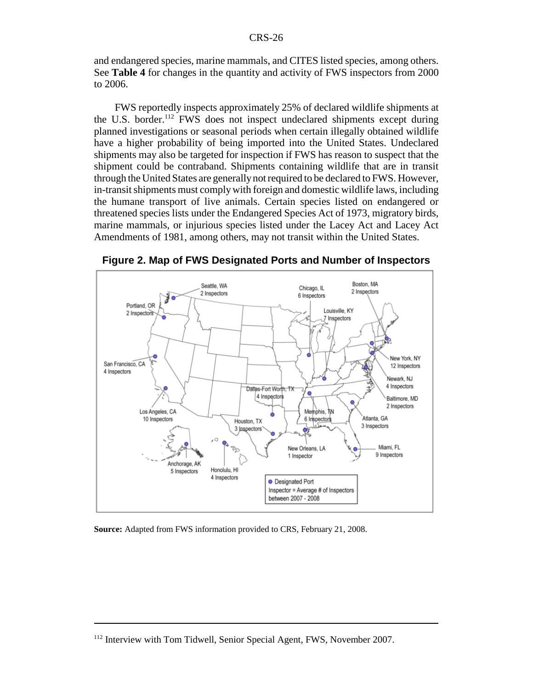and endangered species, marine mammals, and CITES listed species, among others. See **Table 4** for changes in the quantity and activity of FWS inspectors from 2000 to 2006.

FWS reportedly inspects approximately 25% of declared wildlife shipments at the U.S. border.<sup>112</sup> FWS does not inspect undeclared shipments except during planned investigations or seasonal periods when certain illegally obtained wildlife have a higher probability of being imported into the United States. Undeclared shipments may also be targeted for inspection if FWS has reason to suspect that the shipment could be contraband. Shipments containing wildlife that are in transit through the United States are generally not required to be declared to FWS. However, in-transit shipments must comply with foreign and domestic wildlife laws, including the humane transport of live animals. Certain species listed on endangered or threatened species lists under the Endangered Species Act of 1973, migratory birds, marine mammals, or injurious species listed under the Lacey Act and Lacey Act Amendments of 1981, among others, may not transit within the United States.



**Figure 2. Map of FWS Designated Ports and Number of Inspectors**

**Source:** Adapted from FWS information provided to CRS, February 21, 2008.

<sup>&</sup>lt;sup>112</sup> Interview with Tom Tidwell, Senior Special Agent, FWS, November 2007.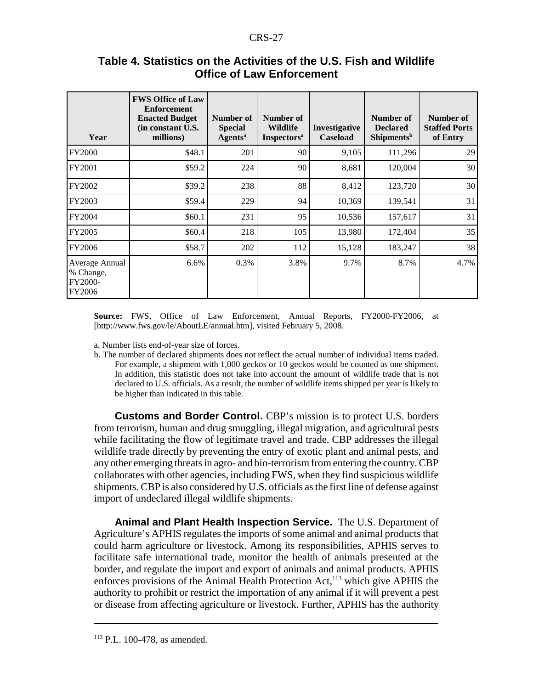| Year                                             | <b>FWS Office of Law</b><br><b>Enforcement</b><br><b>Enacted Budget</b><br>(in constant U.S.<br>millions) | Number of<br><b>Special</b><br><b>Agents</b> <sup>a</sup> | Number of<br><b>Wildlife</b><br><b>Inspectors</b> <sup>a</sup> | Investigative<br><b>Caseload</b> | Number of<br><b>Declared</b><br><b>Shipments</b> <sup>b</sup> | Number of<br><b>Staffed Ports</b><br>of Entry |
|--------------------------------------------------|-----------------------------------------------------------------------------------------------------------|-----------------------------------------------------------|----------------------------------------------------------------|----------------------------------|---------------------------------------------------------------|-----------------------------------------------|
| <b>FY2000</b>                                    | \$48.1                                                                                                    | 201                                                       | 90                                                             | 9,105                            | 111,296                                                       | 29                                            |
| <b>FY2001</b>                                    | \$59.2                                                                                                    | 224                                                       | 90                                                             | 8,681                            | 120,004                                                       | 30                                            |
| FY2002                                           | \$39.2                                                                                                    | 238                                                       | 88                                                             | 8,412                            | 123,720                                                       | 30                                            |
| FY2003                                           | \$59.4                                                                                                    | 229                                                       | 94                                                             | 10,369                           | 139,541                                                       | 31                                            |
| <b>FY2004</b>                                    | \$60.1                                                                                                    | 231                                                       | 95                                                             | 10,536                           | 157,617                                                       | 31                                            |
| FY2005                                           | \$60.4                                                                                                    | 218                                                       | 105                                                            | 13,980                           | 172,404                                                       | 35                                            |
| FY2006                                           | \$58.7                                                                                                    | 202                                                       | 112                                                            | 15,128                           | 183,247                                                       | 38                                            |
| Average Annual<br>% Change,<br>FY2000-<br>FY2006 | 6.6%                                                                                                      | 0.3%                                                      | 3.8%                                                           | 9.7%                             | 8.7%                                                          | 4.7%                                          |

## **Table 4. Statistics on the Activities of the U.S. Fish and Wildlife Office of Law Enforcement**

**Source:** FWS, Office of Law Enforcement, Annual Reports, FY2000-FY2006, at [http://www.fws.gov/le/AboutLE/annual.htm], visited February 5, 2008.

a. Number lists end-of-year size of forces.

b. The number of declared shipments does not reflect the actual number of individual items traded. For example, a shipment with 1,000 geckos or 10 geckos would be counted as one shipment. In addition, this statistic does not take into account the amount of wildlife trade that is not declared to U.S. officials. As a result, the number of wildlife items shipped per year is likely to be higher than indicated in this table.

**Customs and Border Control.** CBP's mission is to protect U.S. borders from terrorism, human and drug smuggling, illegal migration, and agricultural pests while facilitating the flow of legitimate travel and trade. CBP addresses the illegal wildlife trade directly by preventing the entry of exotic plant and animal pests, and any other emerging threats in agro- and bio-terrorism from entering the country. CBP collaborates with other agencies, including FWS, when they find suspicious wildlife shipments. CBP is also considered by U.S. officials as the first line of defense against import of undeclared illegal wildlife shipments.

**Animal and Plant Health Inspection Service.** The U.S. Department of Agriculture's APHIS regulates the imports of some animal and animal products that could harm agriculture or livestock. Among its responsibilities, APHIS serves to facilitate safe international trade, monitor the health of animals presented at the border, and regulate the import and export of animals and animal products. APHIS enforces provisions of the Animal Health Protection Act, $^{113}$  which give APHIS the authority to prohibit or restrict the importation of any animal if it will prevent a pest or disease from affecting agriculture or livestock. Further, APHIS has the authority

 $113$  P.L. 100-478, as amended.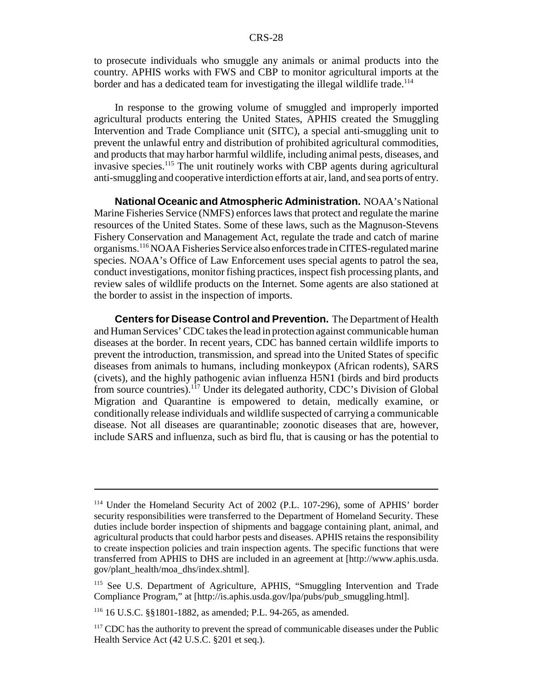to prosecute individuals who smuggle any animals or animal products into the country. APHIS works with FWS and CBP to monitor agricultural imports at the border and has a dedicated team for investigating the illegal wildlife trade.<sup>114</sup>

In response to the growing volume of smuggled and improperly imported agricultural products entering the United States, APHIS created the Smuggling Intervention and Trade Compliance unit (SITC), a special anti-smuggling unit to prevent the unlawful entry and distribution of prohibited agricultural commodities, and products that may harbor harmful wildlife, including animal pests, diseases, and invasive species.115 The unit routinely works with CBP agents during agricultural anti-smuggling and cooperative interdiction efforts at air, land, and sea ports of entry.

**National Oceanic and Atmospheric Administration.** NOAA's National Marine Fisheries Service (NMFS) enforces laws that protect and regulate the marine resources of the United States. Some of these laws, such as the Magnuson-Stevens Fishery Conservation and Management Act, regulate the trade and catch of marine organisms.116 NOAA Fisheries Service also enforces trade in CITES-regulated marine species. NOAA's Office of Law Enforcement uses special agents to patrol the sea, conduct investigations, monitor fishing practices, inspect fish processing plants, and review sales of wildlife products on the Internet. Some agents are also stationed at the border to assist in the inspection of imports.

**Centers for Disease Control and Prevention.** The Department of Health and Human Services' CDC takes the lead in protection against communicable human diseases at the border. In recent years, CDC has banned certain wildlife imports to prevent the introduction, transmission, and spread into the United States of specific diseases from animals to humans, including monkeypox (African rodents), SARS (civets), and the highly pathogenic avian influenza H5N1 (birds and bird products from source countries).<sup>117</sup> Under its delegated authority, CDC's Division of Global Migration and Quarantine is empowered to detain, medically examine, or conditionally release individuals and wildlife suspected of carrying a communicable disease. Not all diseases are quarantinable; zoonotic diseases that are, however, include SARS and influenza, such as bird flu, that is causing or has the potential to

<sup>&</sup>lt;sup>114</sup> Under the Homeland Security Act of 2002 (P.L. 107-296), some of APHIS' border security responsibilities were transferred to the Department of Homeland Security. These duties include border inspection of shipments and baggage containing plant, animal, and agricultural products that could harbor pests and diseases. APHIS retains the responsibility to create inspection policies and train inspection agents. The specific functions that were transferred from APHIS to DHS are included in an agreement at [http://www.aphis.usda. gov/plant\_health/moa\_dhs/index.shtml].

<sup>&</sup>lt;sup>115</sup> See U.S. Department of Agriculture, APHIS, "Smuggling Intervention and Trade Compliance Program," at [http://is.aphis.usda.gov/lpa/pubs/pub\_smuggling.html].

<sup>116 16</sup> U.S.C. §§1801-1882, as amended; P.L. 94-265, as amended.

<sup>&</sup>lt;sup>117</sup> CDC has the authority to prevent the spread of communicable diseases under the Public Health Service Act (42 U.S.C. §201 et seq.).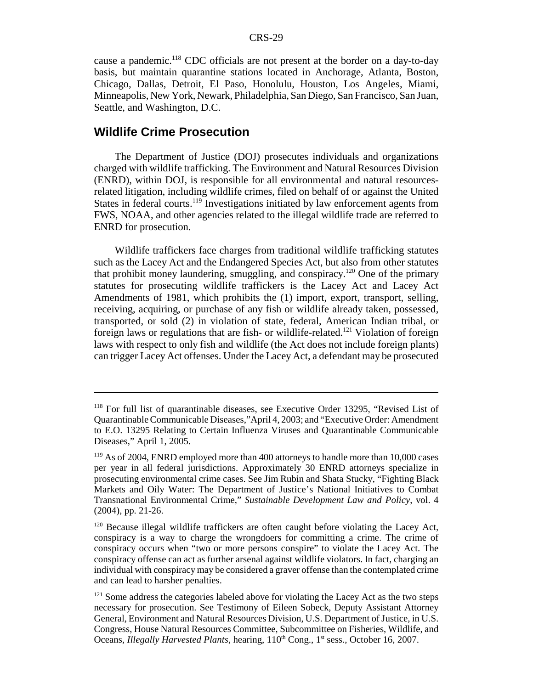cause a pandemic.118 CDC officials are not present at the border on a day-to-day basis, but maintain quarantine stations located in Anchorage, Atlanta, Boston, Chicago, Dallas, Detroit, El Paso, Honolulu, Houston, Los Angeles, Miami, Minneapolis, New York, Newark, Philadelphia, San Diego, San Francisco, San Juan, Seattle, and Washington, D.C.

#### **Wildlife Crime Prosecution**

The Department of Justice (DOJ) prosecutes individuals and organizations charged with wildlife trafficking. The Environment and Natural Resources Division (ENRD), within DOJ, is responsible for all environmental and natural resourcesrelated litigation, including wildlife crimes, filed on behalf of or against the United States in federal courts.<sup>119</sup> Investigations initiated by law enforcement agents from FWS, NOAA, and other agencies related to the illegal wildlife trade are referred to ENRD for prosecution.

Wildlife traffickers face charges from traditional wildlife trafficking statutes such as the Lacey Act and the Endangered Species Act, but also from other statutes that prohibit money laundering, smuggling, and conspiracy.<sup>120</sup> One of the primary statutes for prosecuting wildlife traffickers is the Lacey Act and Lacey Act Amendments of 1981, which prohibits the (1) import, export, transport, selling, receiving, acquiring, or purchase of any fish or wildlife already taken, possessed, transported, or sold (2) in violation of state, federal, American Indian tribal, or foreign laws or regulations that are fish- or wildlife-related.<sup>121</sup> Violation of foreign laws with respect to only fish and wildlife (the Act does not include foreign plants) can trigger Lacey Act offenses. Under the Lacey Act, a defendant may be prosecuted

<sup>&</sup>lt;sup>118</sup> For full list of quarantinable diseases, see Executive Order 13295, "Revised List of Quarantinable Communicable Diseases,"April 4, 2003; and "Executive Order: Amendment to E.O. 13295 Relating to Certain Influenza Viruses and Quarantinable Communicable Diseases," April 1, 2005.

<sup>&</sup>lt;sup>119</sup> As of 2004, ENRD employed more than 400 attorneys to handle more than 10,000 cases per year in all federal jurisdictions. Approximately 30 ENRD attorneys specialize in prosecuting environmental crime cases. See Jim Rubin and Shata Stucky, "Fighting Black Markets and Oily Water: The Department of Justice's National Initiatives to Combat Transnational Environmental Crime," *Sustainable Development Law and Policy*, vol. 4 (2004), pp. 21-26.

<sup>&</sup>lt;sup>120</sup> Because illegal wildlife traffickers are often caught before violating the Lacey Act, conspiracy is a way to charge the wrongdoers for committing a crime. The crime of conspiracy occurs when "two or more persons conspire" to violate the Lacey Act. The conspiracy offense can act as further arsenal against wildlife violators. In fact, charging an individual with conspiracy may be considered a graver offense than the contemplated crime and can lead to harsher penalties.

<sup>&</sup>lt;sup>121</sup> Some address the categories labeled above for violating the Lacey Act as the two steps necessary for prosecution. See Testimony of Eileen Sobeck, Deputy Assistant Attorney General, Environment and Natural Resources Division, U.S. Department of Justice, in U.S. Congress, House Natural Resources Committee, Subcommittee on Fisheries, Wildlife, and Oceans, *Illegally Harvested Plants*, hearing, 110<sup>th</sup> Cong., 1<sup>st</sup> sess., October 16, 2007.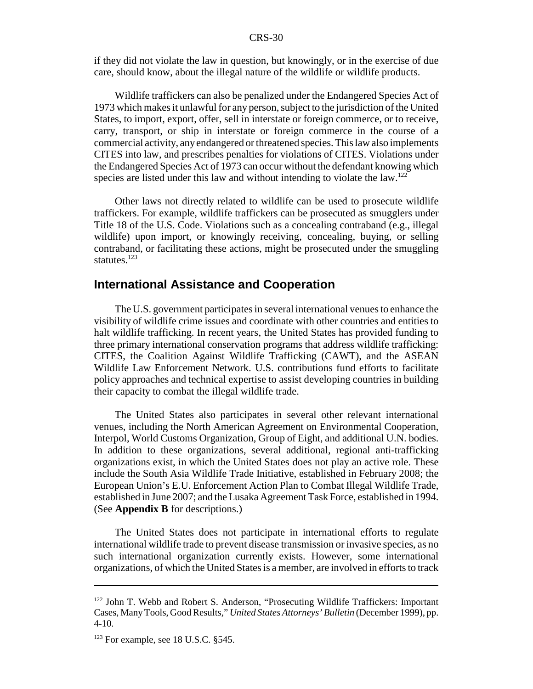if they did not violate the law in question, but knowingly, or in the exercise of due care, should know, about the illegal nature of the wildlife or wildlife products.

Wildlife traffickers can also be penalized under the Endangered Species Act of 1973 which makes it unlawful for any person, subject to the jurisdiction of the United States, to import, export, offer, sell in interstate or foreign commerce, or to receive, carry, transport, or ship in interstate or foreign commerce in the course of a commercial activity, any endangered or threatened species. This law also implements CITES into law, and prescribes penalties for violations of CITES. Violations under the Endangered Species Act of 1973 can occur without the defendant knowing which species are listed under this law and without intending to violate the law.<sup>122</sup>

Other laws not directly related to wildlife can be used to prosecute wildlife traffickers. For example, wildlife traffickers can be prosecuted as smugglers under Title 18 of the U.S. Code. Violations such as a concealing contraband (e.g., illegal wildlife) upon import, or knowingly receiving, concealing, buying, or selling contraband, or facilitating these actions, might be prosecuted under the smuggling statutes.<sup>123</sup>

## **International Assistance and Cooperation**

The U.S. government participates in several international venues to enhance the visibility of wildlife crime issues and coordinate with other countries and entities to halt wildlife trafficking. In recent years, the United States has provided funding to three primary international conservation programs that address wildlife trafficking: CITES, the Coalition Against Wildlife Trafficking (CAWT), and the ASEAN Wildlife Law Enforcement Network. U.S. contributions fund efforts to facilitate policy approaches and technical expertise to assist developing countries in building their capacity to combat the illegal wildlife trade.

The United States also participates in several other relevant international venues, including the North American Agreement on Environmental Cooperation, Interpol, World Customs Organization, Group of Eight, and additional U.N. bodies. In addition to these organizations, several additional, regional anti-trafficking organizations exist, in which the United States does not play an active role. These include the South Asia Wildlife Trade Initiative, established in February 2008; the European Union's E.U. Enforcement Action Plan to Combat Illegal Wildlife Trade, established in June 2007; and the Lusaka Agreement Task Force, established in 1994. (See **Appendix B** for descriptions.)

The United States does not participate in international efforts to regulate international wildlife trade to prevent disease transmission or invasive species, as no such international organization currently exists. However, some international organizations, of which the United States is a member, are involved in efforts to track

<sup>&</sup>lt;sup>122</sup> John T. Webb and Robert S. Anderson, "Prosecuting Wildlife Traffickers: Important Cases, Many Tools, Good Results," *United States Attorneys' Bulletin* (December 1999), pp. 4-10.

 $123$  For example, see 18 U.S.C. §545.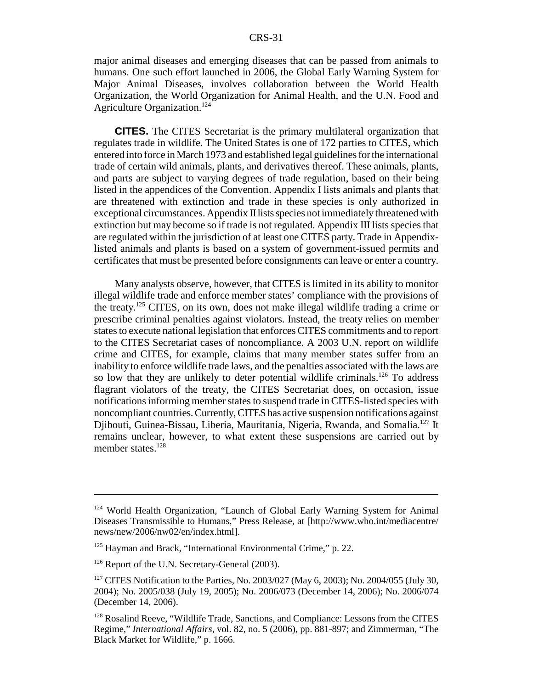major animal diseases and emerging diseases that can be passed from animals to humans. One such effort launched in 2006, the Global Early Warning System for Major Animal Diseases, involves collaboration between the World Health Organization, the World Organization for Animal Health, and the U.N. Food and Agriculture Organization.<sup>124</sup>

**CITES.** The CITES Secretariat is the primary multilateral organization that regulates trade in wildlife. The United States is one of 172 parties to CITES, which entered into force in March 1973 and established legal guidelines for the international trade of certain wild animals, plants, and derivatives thereof. These animals, plants, and parts are subject to varying degrees of trade regulation, based on their being listed in the appendices of the Convention. Appendix I lists animals and plants that are threatened with extinction and trade in these species is only authorized in exceptional circumstances. Appendix II lists species not immediately threatened with extinction but may become so if trade is not regulated. Appendix III lists species that are regulated within the jurisdiction of at least one CITES party. Trade in Appendixlisted animals and plants is based on a system of government-issued permits and certificates that must be presented before consignments can leave or enter a country.

Many analysts observe, however, that CITES is limited in its ability to monitor illegal wildlife trade and enforce member states' compliance with the provisions of the treaty.125 CITES, on its own, does not make illegal wildlife trading a crime or prescribe criminal penalties against violators. Instead, the treaty relies on member states to execute national legislation that enforces CITES commitments and to report to the CITES Secretariat cases of noncompliance. A 2003 U.N. report on wildlife crime and CITES, for example, claims that many member states suffer from an inability to enforce wildlife trade laws, and the penalties associated with the laws are so low that they are unlikely to deter potential wildlife criminals.<sup>126</sup> To address flagrant violators of the treaty, the CITES Secretariat does, on occasion, issue notifications informing member states to suspend trade in CITES-listed species with noncompliant countries. Currently, CITES has active suspension notifications against Djibouti, Guinea-Bissau, Liberia, Mauritania, Nigeria, Rwanda, and Somalia.<sup>127</sup> It remains unclear, however, to what extent these suspensions are carried out by member states.<sup>128</sup>

<sup>&</sup>lt;sup>124</sup> World Health Organization, "Launch of Global Early Warning System for Animal Diseases Transmissible to Humans," Press Release, at [http://www.who.int/mediacentre/ news/new/2006/nw02/en/index.html].

<sup>&</sup>lt;sup>125</sup> Hayman and Brack, "International Environmental Crime," p. 22.

<sup>&</sup>lt;sup>126</sup> Report of the U.N. Secretary-General (2003).

<sup>&</sup>lt;sup>127</sup> CITES Notification to the Parties, No. 2003/027 (May 6, 2003); No. 2004/055 (July 30, 2004); No. 2005/038 (July 19, 2005); No. 2006/073 (December 14, 2006); No. 2006/074 (December 14, 2006).

<sup>128</sup> Rosalind Reeve, "Wildlife Trade, Sanctions, and Compliance: Lessons from the CITES Regime," *International Affairs*, vol. 82, no. 5 (2006), pp. 881-897; and Zimmerman, "The Black Market for Wildlife," p. 1666.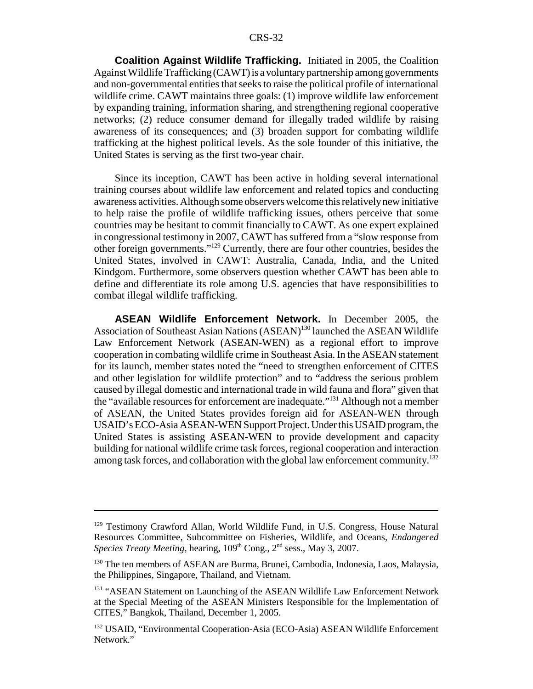**Coalition Against Wildlife Trafficking.** Initiated in 2005, the Coalition Against Wildlife Trafficking (CAWT) is a voluntary partnership among governments and non-governmental entities that seeks to raise the political profile of international wildlife crime. CAWT maintains three goals: (1) improve wildlife law enforcement by expanding training, information sharing, and strengthening regional cooperative networks; (2) reduce consumer demand for illegally traded wildlife by raising awareness of its consequences; and (3) broaden support for combating wildlife trafficking at the highest political levels. As the sole founder of this initiative, the United States is serving as the first two-year chair.

Since its inception, CAWT has been active in holding several international training courses about wildlife law enforcement and related topics and conducting awareness activities. Although some observers welcome this relatively new initiative to help raise the profile of wildlife trafficking issues, others perceive that some countries may be hesitant to commit financially to CAWT. As one expert explained in congressional testimony in 2007, CAWT has suffered from a "slow response from other foreign governments."129 Currently, there are four other countries, besides the United States, involved in CAWT: Australia, Canada, India, and the United Kindgom. Furthermore, some observers question whether CAWT has been able to define and differentiate its role among U.S. agencies that have responsibilities to combat illegal wildlife trafficking.

**ASEAN Wildlife Enforcement Network.** In December 2005, the Association of Southeast Asian Nations (ASEAN)<sup>130</sup> launched the ASEAN Wildlife Law Enforcement Network (ASEAN-WEN) as a regional effort to improve cooperation in combating wildlife crime in Southeast Asia. In the ASEAN statement for its launch, member states noted the "need to strengthen enforcement of CITES and other legislation for wildlife protection" and to "address the serious problem caused by illegal domestic and international trade in wild fauna and flora" given that the "available resources for enforcement are inadequate."131 Although not a member of ASEAN, the United States provides foreign aid for ASEAN-WEN through USAID's ECO-Asia ASEAN-WEN Support Project. Under this USAID program, the United States is assisting ASEAN-WEN to provide development and capacity building for national wildlife crime task forces, regional cooperation and interaction among task forces, and collaboration with the global law enforcement community.<sup>132</sup>

<sup>&</sup>lt;sup>129</sup> Testimony Crawford Allan, World Wildlife Fund, in U.S. Congress, House Natural Resources Committee, Subcommittee on Fisheries, Wildlife, and Oceans, *Endangered Species Treaty Meeting*, hearing, 109<sup>th</sup> Cong., 2<sup>nd</sup> sess., May 3, 2007.

<sup>&</sup>lt;sup>130</sup> The ten members of ASEAN are Burma, Brunei, Cambodia, Indonesia, Laos, Malaysia, the Philippines, Singapore, Thailand, and Vietnam.

<sup>&</sup>lt;sup>131</sup> "ASEAN Statement on Launching of the ASEAN Wildlife Law Enforcement Network at the Special Meeting of the ASEAN Ministers Responsible for the Implementation of CITES," Bangkok, Thailand, December 1, 2005.

<sup>&</sup>lt;sup>132</sup> USAID, "Environmental Cooperation-Asia (ECO-Asia) ASEAN Wildlife Enforcement Network."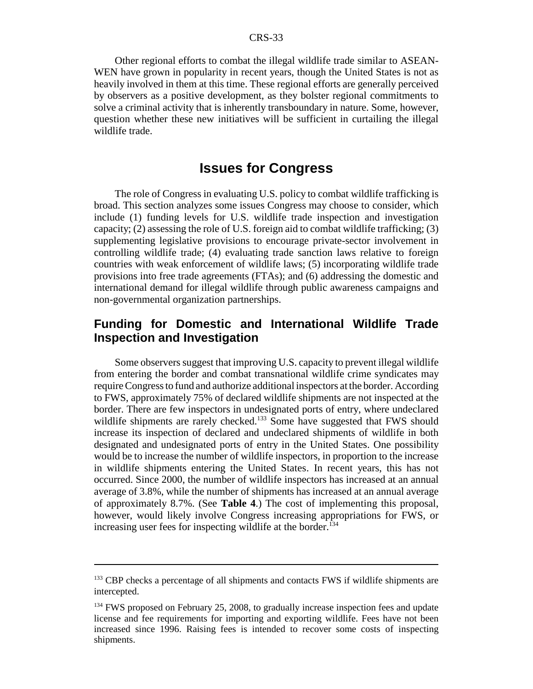Other regional efforts to combat the illegal wildlife trade similar to ASEAN-WEN have grown in popularity in recent years, though the United States is not as heavily involved in them at this time. These regional efforts are generally perceived by observers as a positive development, as they bolster regional commitments to solve a criminal activity that is inherently transboundary in nature. Some, however, question whether these new initiatives will be sufficient in curtailing the illegal wildlife trade.

## **Issues for Congress**

The role of Congress in evaluating U.S. policy to combat wildlife trafficking is broad. This section analyzes some issues Congress may choose to consider, which include (1) funding levels for U.S. wildlife trade inspection and investigation capacity; (2) assessing the role of U.S. foreign aid to combat wildlife trafficking; (3) supplementing legislative provisions to encourage private-sector involvement in controlling wildlife trade; (4) evaluating trade sanction laws relative to foreign countries with weak enforcement of wildlife laws; (5) incorporating wildlife trade provisions into free trade agreements (FTAs); and (6) addressing the domestic and international demand for illegal wildlife through public awareness campaigns and non-governmental organization partnerships.

## **Funding for Domestic and International Wildlife Trade Inspection and Investigation**

Some observers suggest that improving U.S. capacity to prevent illegal wildlife from entering the border and combat transnational wildlife crime syndicates may require Congress to fund and authorize additional inspectors at the border. According to FWS, approximately 75% of declared wildlife shipments are not inspected at the border. There are few inspectors in undesignated ports of entry, where undeclared wildlife shipments are rarely checked.<sup>133</sup> Some have suggested that FWS should increase its inspection of declared and undeclared shipments of wildlife in both designated and undesignated ports of entry in the United States. One possibility would be to increase the number of wildlife inspectors, in proportion to the increase in wildlife shipments entering the United States. In recent years, this has not occurred. Since 2000, the number of wildlife inspectors has increased at an annual average of 3.8%, while the number of shipments has increased at an annual average of approximately 8.7%. (See **Table 4**.) The cost of implementing this proposal, however, would likely involve Congress increasing appropriations for FWS, or increasing user fees for inspecting wildlife at the border.<sup>134</sup>

<sup>&</sup>lt;sup>133</sup> CBP checks a percentage of all shipments and contacts FWS if wildlife shipments are intercepted.

<sup>&</sup>lt;sup>134</sup> FWS proposed on February 25, 2008, to gradually increase inspection fees and update license and fee requirements for importing and exporting wildlife. Fees have not been increased since 1996. Raising fees is intended to recover some costs of inspecting shipments.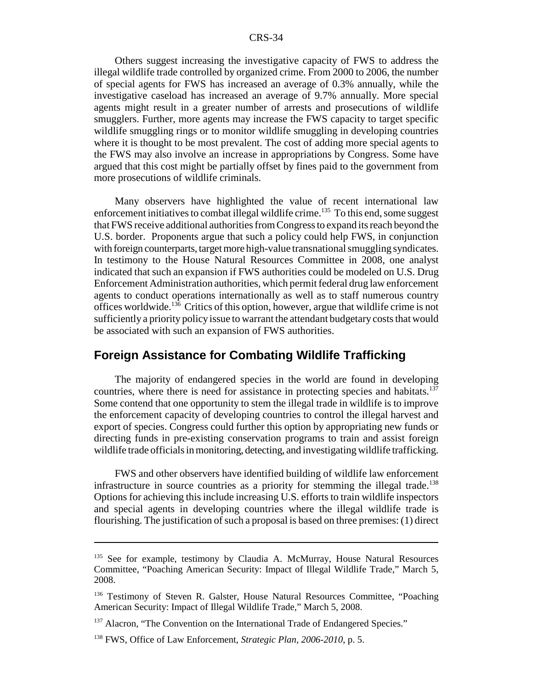Others suggest increasing the investigative capacity of FWS to address the illegal wildlife trade controlled by organized crime. From 2000 to 2006, the number of special agents for FWS has increased an average of 0.3% annually, while the investigative caseload has increased an average of 9.7% annually. More special agents might result in a greater number of arrests and prosecutions of wildlife smugglers. Further, more agents may increase the FWS capacity to target specific wildlife smuggling rings or to monitor wildlife smuggling in developing countries where it is thought to be most prevalent. The cost of adding more special agents to the FWS may also involve an increase in appropriations by Congress. Some have argued that this cost might be partially offset by fines paid to the government from more prosecutions of wildlife criminals.

Many observers have highlighted the value of recent international law enforcement initiatives to combat illegal wildlife crime.<sup>135</sup> To this end, some suggest that FWS receive additional authorities from Congress to expand its reach beyond the U.S. border. Proponents argue that such a policy could help FWS, in conjunction with foreign counterparts, target more high-value transnational smuggling syndicates. In testimony to the House Natural Resources Committee in 2008, one analyst indicated that such an expansion if FWS authorities could be modeled on U.S. Drug Enforcement Administration authorities, which permit federal drug law enforcement agents to conduct operations internationally as well as to staff numerous country offices worldwide.<sup>136</sup> Critics of this option, however, argue that wildlife crime is not sufficiently a priority policy issue to warrant the attendant budgetary costs that would be associated with such an expansion of FWS authorities.

#### **Foreign Assistance for Combating Wildlife Trafficking**

The majority of endangered species in the world are found in developing countries, where there is need for assistance in protecting species and habitats.137 Some contend that one opportunity to stem the illegal trade in wildlife is to improve the enforcement capacity of developing countries to control the illegal harvest and export of species. Congress could further this option by appropriating new funds or directing funds in pre-existing conservation programs to train and assist foreign wildlife trade officials in monitoring, detecting, and investigating wildlife trafficking.

FWS and other observers have identified building of wildlife law enforcement infrastructure in source countries as a priority for stemming the illegal trade.<sup>138</sup> Options for achieving this include increasing U.S. efforts to train wildlife inspectors and special agents in developing countries where the illegal wildlife trade is flourishing. The justification of such a proposal is based on three premises: (1) direct

<sup>&</sup>lt;sup>135</sup> See for example, testimony by Claudia A. McMurray, House Natural Resources Committee, "Poaching American Security: Impact of Illegal Wildlife Trade," March 5, 2008.

<sup>&</sup>lt;sup>136</sup> Testimony of Steven R. Galster, House Natural Resources Committee, "Poaching American Security: Impact of Illegal Wildlife Trade," March 5, 2008.

<sup>&</sup>lt;sup>137</sup> Alacron, "The Convention on the International Trade of Endangered Species."

<sup>138</sup> FWS, Office of Law Enforcement, *Strategic Plan, 2006-2010*, p. 5.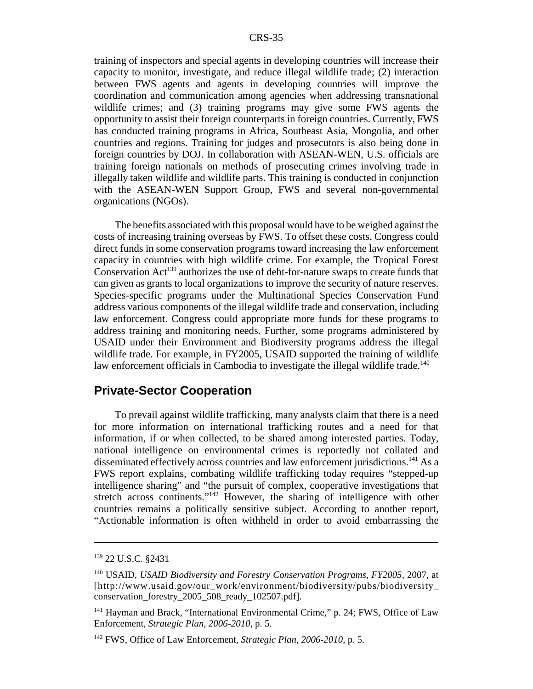training of inspectors and special agents in developing countries will increase their capacity to monitor, investigate, and reduce illegal wildlife trade; (2) interaction between FWS agents and agents in developing countries will improve the coordination and communication among agencies when addressing transnational wildlife crimes; and (3) training programs may give some FWS agents the opportunity to assist their foreign counterparts in foreign countries. Currently, FWS has conducted training programs in Africa, Southeast Asia, Mongolia, and other countries and regions. Training for judges and prosecutors is also being done in foreign countries by DOJ. In collaboration with ASEAN-WEN, U.S. officials are training foreign nationals on methods of prosecuting crimes involving trade in illegally taken wildlife and wildlife parts. This training is conducted in conjunction with the ASEAN-WEN Support Group, FWS and several non-governmental organications (NGOs).

The benefits associated with this proposal would have to be weighed against the costs of increasing training overseas by FWS. To offset these costs, Congress could direct funds in some conservation programs toward increasing the law enforcement capacity in countries with high wildlife crime. For example, the Tropical Forest Conservation  $Act^{139}$  authorizes the use of debt-for-nature swaps to create funds that can given as grants to local organizations to improve the security of nature reserves. Species-specific programs under the Multinational Species Conservation Fund address various components of the illegal wildlife trade and conservation, including law enforcement. Congress could appropriate more funds for these programs to address training and monitoring needs. Further, some programs administered by USAID under their Environment and Biodiversity programs address the illegal wildlife trade. For example, in FY2005, USAID supported the training of wildlife law enforcement officials in Cambodia to investigate the illegal wildlife trade.<sup>140</sup>

#### **Private-Sector Cooperation**

To prevail against wildlife trafficking, many analysts claim that there is a need for more information on international trafficking routes and a need for that information, if or when collected, to be shared among interested parties. Today, national intelligence on environmental crimes is reportedly not collated and disseminated effectively across countries and law enforcement jurisdictions.141 As a FWS report explains, combating wildlife trafficking today requires "stepped-up intelligence sharing" and "the pursuit of complex, cooperative investigations that stretch across continents."<sup>142</sup> However, the sharing of intelligence with other countries remains a politically sensitive subject. According to another report, "Actionable information is often withheld in order to avoid embarrassing the

<sup>139 22</sup> U.S.C. §2431

<sup>140</sup> USAID, *USAID Biodiversity and Forestry Conservation Programs, FY2005*, 2007, at [http://www.usaid.gov/our\_work/environment/biodiversity/pubs/biodiversity\_ conservation\_forestry\_2005\_508\_ready\_102507.pdf].

<sup>&</sup>lt;sup>141</sup> Hayman and Brack, "International Environmental Crime," p. 24; FWS, Office of Law Enforcement, *Strategic Plan, 2006-2010*, p. 5.

<sup>142</sup> FWS, Office of Law Enforcement, *Strategic Plan, 2006-2010*, p. 5.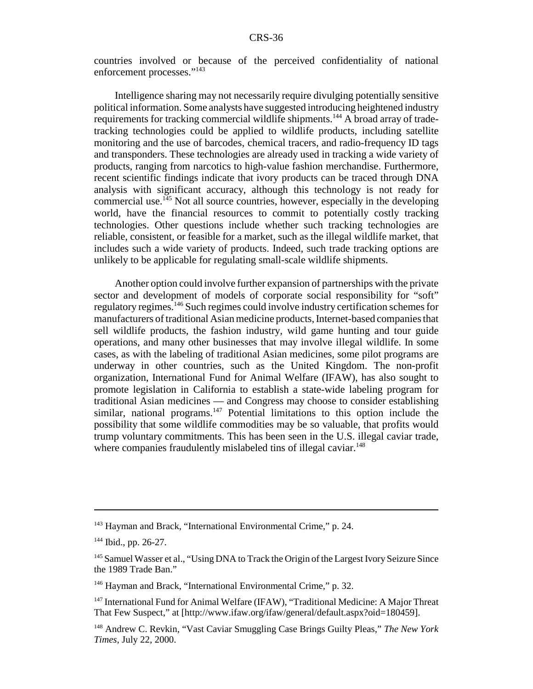countries involved or because of the perceived confidentiality of national enforcement processes."143

Intelligence sharing may not necessarily require divulging potentially sensitive political information. Some analysts have suggested introducing heightened industry requirements for tracking commercial wildlife shipments.144 A broad array of tradetracking technologies could be applied to wildlife products, including satellite monitoring and the use of barcodes, chemical tracers, and radio-frequency ID tags and transponders. These technologies are already used in tracking a wide variety of products, ranging from narcotics to high-value fashion merchandise. Furthermore, recent scientific findings indicate that ivory products can be traced through DNA analysis with significant accuracy, although this technology is not ready for commercial use.145 Not all source countries, however, especially in the developing world, have the financial resources to commit to potentially costly tracking technologies. Other questions include whether such tracking technologies are reliable, consistent, or feasible for a market, such as the illegal wildlife market, that includes such a wide variety of products. Indeed, such trade tracking options are unlikely to be applicable for regulating small-scale wildlife shipments.

Another option could involve further expansion of partnerships with the private sector and development of models of corporate social responsibility for "soft" regulatory regimes.146 Such regimes could involve industry certification schemes for manufacturers of traditional Asian medicine products, Internet-based companies that sell wildlife products, the fashion industry, wild game hunting and tour guide operations, and many other businesses that may involve illegal wildlife. In some cases, as with the labeling of traditional Asian medicines, some pilot programs are underway in other countries, such as the United Kingdom. The non-profit organization, International Fund for Animal Welfare (IFAW), has also sought to promote legislation in California to establish a state-wide labeling program for traditional Asian medicines — and Congress may choose to consider establishing similar, national programs. $147$  Potential limitations to this option include the possibility that some wildlife commodities may be so valuable, that profits would trump voluntary commitments. This has been seen in the U.S. illegal caviar trade, where companies fraudulently mislabeled tins of illegal caviar.<sup>148</sup>

<sup>&</sup>lt;sup>143</sup> Hayman and Brack, "International Environmental Crime," p. 24.

<sup>144</sup> Ibid., pp. 26-27.

<sup>145</sup> Samuel Wasser et al., "Using DNA to Track the Origin of the Largest Ivory Seizure Since the 1989 Trade Ban."

<sup>&</sup>lt;sup>146</sup> Hayman and Brack, "International Environmental Crime," p. 32.

<sup>&</sup>lt;sup>147</sup> International Fund for Animal Welfare (IFAW), "Traditional Medicine: A Major Threat That Few Suspect," at [http://www.ifaw.org/ifaw/general/default.aspx?oid=180459].

<sup>148</sup> Andrew C. Revkin, "Vast Caviar Smuggling Case Brings Guilty Pleas," *The New York Times*, July 22, 2000.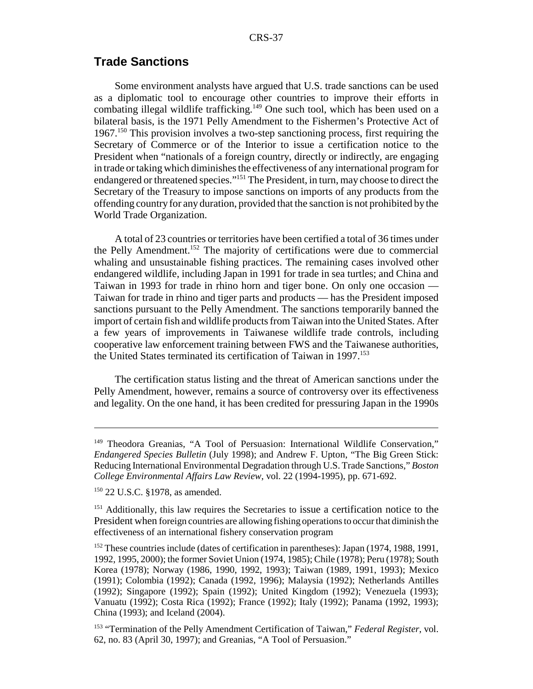#### **Trade Sanctions**

Some environment analysts have argued that U.S. trade sanctions can be used as a diplomatic tool to encourage other countries to improve their efforts in combating illegal wildlife trafficking.<sup>149</sup> One such tool, which has been used on a bilateral basis, is the 1971 Pelly Amendment to the Fishermen's Protective Act of 1967.150 This provision involves a two-step sanctioning process, first requiring the Secretary of Commerce or of the Interior to issue a certification notice to the President when "nationals of a foreign country, directly or indirectly, are engaging in trade or taking which diminishes the effectiveness of any international program for endangered or threatened species."151 The President, in turn, may choose to direct the Secretary of the Treasury to impose sanctions on imports of any products from the offending country for any duration, provided that the sanction is not prohibited by the World Trade Organization.

A total of 23 countries or territories have been certified a total of 36 times under the Pelly Amendment.152 The majority of certifications were due to commercial whaling and unsustainable fishing practices. The remaining cases involved other endangered wildlife, including Japan in 1991 for trade in sea turtles; and China and Taiwan in 1993 for trade in rhino horn and tiger bone. On only one occasion — Taiwan for trade in rhino and tiger parts and products — has the President imposed sanctions pursuant to the Pelly Amendment. The sanctions temporarily banned the import of certain fish and wildlife products from Taiwan into the United States. After a few years of improvements in Taiwanese wildlife trade controls, including cooperative law enforcement training between FWS and the Taiwanese authorities, the United States terminated its certification of Taiwan in 1997.<sup>153</sup>

The certification status listing and the threat of American sanctions under the Pelly Amendment, however, remains a source of controversy over its effectiveness and legality. On the one hand, it has been credited for pressuring Japan in the 1990s

<sup>149</sup> Theodora Greanias, "A Tool of Persuasion: International Wildlife Conservation," *Endangered Species Bulletin* (July 1998); and Andrew F. Upton, "The Big Green Stick: Reducing International Environmental Degradation through U.S. Trade Sanctions," *Boston College Environmental Affairs Law Review*, vol. 22 (1994-1995), pp. 671-692.

<sup>150 22</sup> U.S.C. §1978, as amended.

<sup>&</sup>lt;sup>151</sup> Additionally, this law requires the Secretaries to issue a certification notice to the President when foreign countries are allowing fishing operations to occur that diminish the effectiveness of an international fishery conservation program

<sup>&</sup>lt;sup>152</sup> These countries include (dates of certification in parentheses): Japan (1974, 1988, 1991, 1992, 1995, 2000); the former Soviet Union (1974, 1985); Chile (1978); Peru (1978); South Korea (1978); Norway (1986, 1990, 1992, 1993); Taiwan (1989, 1991, 1993); Mexico (1991); Colombia (1992); Canada (1992, 1996); Malaysia (1992); Netherlands Antilles (1992); Singapore (1992); Spain (1992); United Kingdom (1992); Venezuela (1993); Vanuatu (1992); Costa Rica (1992); France (1992); Italy (1992); Panama (1992, 1993); China (1993); and Iceland (2004).

<sup>153 &</sup>quot;Termination of the Pelly Amendment Certification of Taiwan," *Federal Register*, vol. 62, no. 83 (April 30, 1997); and Greanias, "A Tool of Persuasion."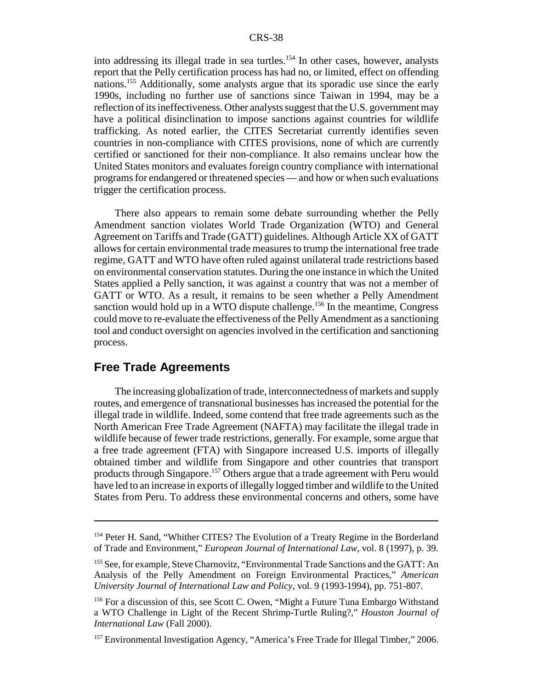into addressing its illegal trade in sea turtles.<sup>154</sup> In other cases, however, analysts report that the Pelly certification process has had no, or limited, effect on offending nations.155 Additionally, some analysts argue that its sporadic use since the early 1990s, including no further use of sanctions since Taiwan in 1994, may be a reflection of its ineffectiveness. Other analysts suggest that the U.S. government may have a political disinclination to impose sanctions against countries for wildlife trafficking. As noted earlier, the CITES Secretariat currently identifies seven countries in non-compliance with CITES provisions, none of which are currently certified or sanctioned for their non-compliance. It also remains unclear how the United States monitors and evaluates foreign country compliance with international programs for endangered or threatened species — and how or when such evaluations trigger the certification process.

There also appears to remain some debate surrounding whether the Pelly Amendment sanction violates World Trade Organization (WTO) and General Agreement on Tariffs and Trade (GATT) guidelines. Although Article XX of GATT allows for certain environmental trade measures to trump the international free trade regime, GATT and WTO have often ruled against unilateral trade restrictions based on environmental conservation statutes. During the one instance in which the United States applied a Pelly sanction, it was against a country that was not a member of GATT or WTO. As a result, it remains to be seen whether a Pelly Amendment sanction would hold up in a WTO dispute challenge.<sup>156</sup> In the meantime, Congress could move to re-evaluate the effectiveness of the Pelly Amendment as a sanctioning tool and conduct oversight on agencies involved in the certification and sanctioning process.

#### **Free Trade Agreements**

The increasing globalization of trade, interconnectedness of markets and supply routes, and emergence of transnational businesses has increased the potential for the illegal trade in wildlife. Indeed, some contend that free trade agreements such as the North American Free Trade Agreement (NAFTA) may facilitate the illegal trade in wildlife because of fewer trade restrictions, generally. For example, some argue that a free trade agreement (FTA) with Singapore increased U.S. imports of illegally obtained timber and wildlife from Singapore and other countries that transport products through Singapore.<sup>157</sup> Others argue that a trade agreement with Peru would have led to an increase in exports of illegally logged timber and wildlife to the United States from Peru. To address these environmental concerns and others, some have

<sup>&</sup>lt;sup>154</sup> Peter H. Sand, "Whither CITES? The Evolution of a Treaty Regime in the Borderland of Trade and Environment," *European Journal of International Law*, vol. 8 (1997), p. 39.

<sup>&</sup>lt;sup>155</sup> See, for example, Steve Charnovitz, "Environmental Trade Sanctions and the GATT: An Analysis of the Pelly Amendment on Foreign Environmental Practices," *American University Journal of International Law and Policy*, vol. 9 (1993-1994), pp. 751-807.

<sup>&</sup>lt;sup>156</sup> For a discussion of this, see Scott C. Owen, "Might a Future Tuna Embargo Withstand a WTO Challenge in Light of the Recent Shrimp-Turtle Ruling?," *Houston Journal of International Law* (Fall 2000).

<sup>&</sup>lt;sup>157</sup> Environmental Investigation Agency, "America's Free Trade for Illegal Timber," 2006.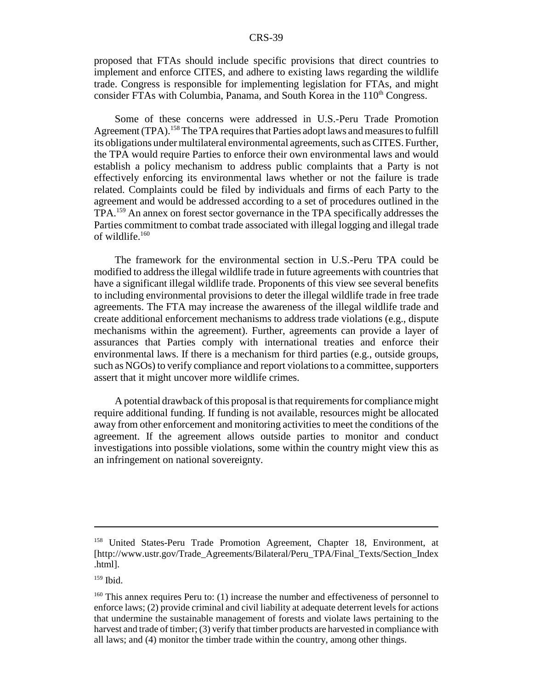proposed that FTAs should include specific provisions that direct countries to implement and enforce CITES, and adhere to existing laws regarding the wildlife trade. Congress is responsible for implementing legislation for FTAs, and might consider FTAs with Columbia, Panama, and South Korea in the 110<sup>th</sup> Congress.

Some of these concerns were addressed in U.S.-Peru Trade Promotion Agreement (TPA).<sup>158</sup> The TPA requires that Parties adopt laws and measures to fulfill its obligations under multilateral environmental agreements, such as CITES. Further, the TPA would require Parties to enforce their own environmental laws and would establish a policy mechanism to address public complaints that a Party is not effectively enforcing its environmental laws whether or not the failure is trade related. Complaints could be filed by individuals and firms of each Party to the agreement and would be addressed according to a set of procedures outlined in the TPA.159 An annex on forest sector governance in the TPA specifically addresses the Parties commitment to combat trade associated with illegal logging and illegal trade of wildlife.160

The framework for the environmental section in U.S.-Peru TPA could be modified to address the illegal wildlife trade in future agreements with countries that have a significant illegal wildlife trade. Proponents of this view see several benefits to including environmental provisions to deter the illegal wildlife trade in free trade agreements. The FTA may increase the awareness of the illegal wildlife trade and create additional enforcement mechanisms to address trade violations (e.g., dispute mechanisms within the agreement). Further, agreements can provide a layer of assurances that Parties comply with international treaties and enforce their environmental laws. If there is a mechanism for third parties (e.g., outside groups, such as NGOs) to verify compliance and report violations to a committee, supporters assert that it might uncover more wildlife crimes.

A potential drawback of this proposal is that requirements for compliance might require additional funding. If funding is not available, resources might be allocated away from other enforcement and monitoring activities to meet the conditions of the agreement. If the agreement allows outside parties to monitor and conduct investigations into possible violations, some within the country might view this as an infringement on national sovereignty.

<sup>&</sup>lt;sup>158</sup> United States-Peru Trade Promotion Agreement, Chapter 18, Environment, at [http://www.ustr.gov/Trade\_Agreements/Bilateral/Peru\_TPA/Final\_Texts/Section\_Index .html].

 $159$  Ibid.

<sup>&</sup>lt;sup>160</sup> This annex requires Peru to: (1) increase the number and effectiveness of personnel to enforce laws; (2) provide criminal and civil liability at adequate deterrent levels for actions that undermine the sustainable management of forests and violate laws pertaining to the harvest and trade of timber; (3) verify that timber products are harvested in compliance with all laws; and (4) monitor the timber trade within the country, among other things.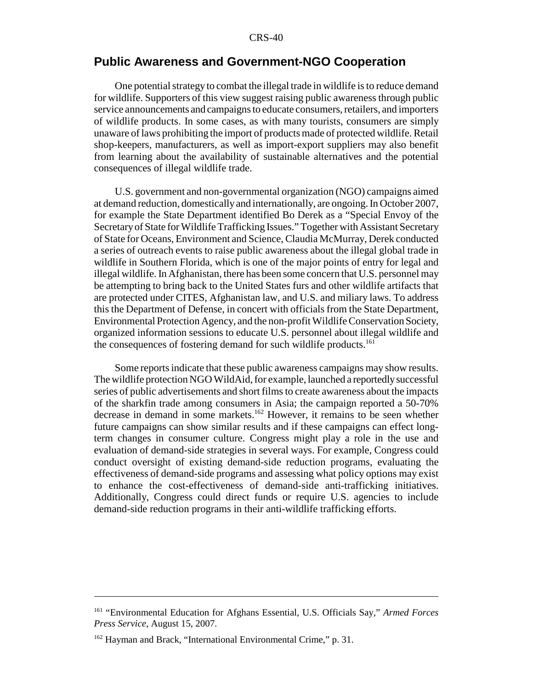#### **Public Awareness and Government-NGO Cooperation**

One potential strategy to combat the illegal trade in wildlife is to reduce demand for wildlife. Supporters of this view suggest raising public awareness through public service announcements and campaigns to educate consumers, retailers, and importers of wildlife products. In some cases, as with many tourists, consumers are simply unaware of laws prohibiting the import of products made of protected wildlife. Retail shop-keepers, manufacturers, as well as import-export suppliers may also benefit from learning about the availability of sustainable alternatives and the potential consequences of illegal wildlife trade.

U.S. government and non-governmental organization (NGO) campaigns aimed at demand reduction, domestically and internationally, are ongoing. In October 2007, for example the State Department identified Bo Derek as a "Special Envoy of the Secretary of State for Wildlife Trafficking Issues." Together with Assistant Secretary of State for Oceans, Environment and Science, Claudia McMurray, Derek conducted a series of outreach events to raise public awareness about the illegal global trade in wildlife in Southern Florida, which is one of the major points of entry for legal and illegal wildlife. In Afghanistan, there has been some concern that U.S. personnel may be attempting to bring back to the United States furs and other wildlife artifacts that are protected under CITES, Afghanistan law, and U.S. and miliary laws. To address this the Department of Defense, in concert with officials from the State Department, Environmental Protection Agency, and the non-profit Wildlife Conservation Society, organized information sessions to educate U.S. personnel about illegal wildlife and the consequences of fostering demand for such wildlife products.<sup>161</sup>

Some reports indicate that these public awareness campaigns may show results. The wildlife protection NGO WildAid, for example, launched a reportedly successful series of public advertisements and short films to create awareness about the impacts of the sharkfin trade among consumers in Asia; the campaign reported a 50-70% decrease in demand in some markets.162 However, it remains to be seen whether future campaigns can show similar results and if these campaigns can effect longterm changes in consumer culture. Congress might play a role in the use and evaluation of demand-side strategies in several ways. For example, Congress could conduct oversight of existing demand-side reduction programs, evaluating the effectiveness of demand-side programs and assessing what policy options may exist to enhance the cost-effectiveness of demand-side anti-trafficking initiatives. Additionally, Congress could direct funds or require U.S. agencies to include demand-side reduction programs in their anti-wildlife trafficking efforts.

<sup>161 &</sup>quot;Environmental Education for Afghans Essential, U.S. Officials Say," *Armed Forces Press Service*, August 15, 2007.

 $162$  Hayman and Brack, "International Environmental Crime," p. 31.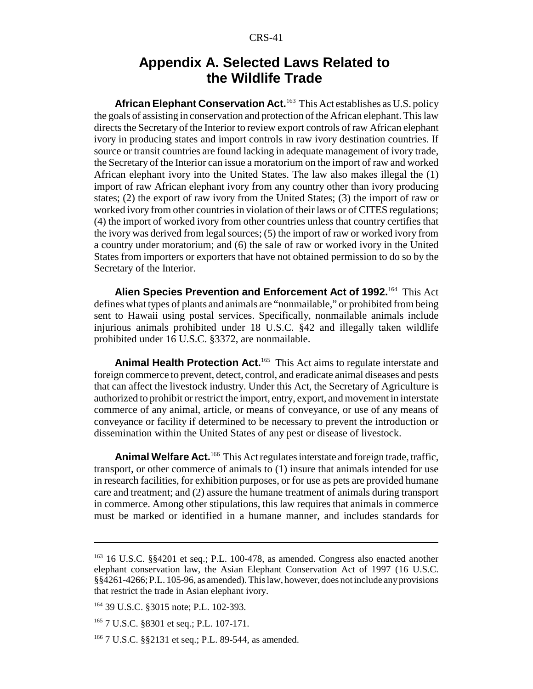## **Appendix A. Selected Laws Related to the Wildlife Trade**

**African Elephant Conservation Act.**163 This Act establishes as U.S. policy the goals of assisting in conservation and protection of the African elephant. This law directs the Secretary of the Interior to review export controls of raw African elephant ivory in producing states and import controls in raw ivory destination countries. If source or transit countries are found lacking in adequate management of ivory trade, the Secretary of the Interior can issue a moratorium on the import of raw and worked African elephant ivory into the United States. The law also makes illegal the (1) import of raw African elephant ivory from any country other than ivory producing states; (2) the export of raw ivory from the United States; (3) the import of raw or worked ivory from other countries in violation of their laws or of CITES regulations; (4) the import of worked ivory from other countries unless that country certifies that the ivory was derived from legal sources; (5) the import of raw or worked ivory from a country under moratorium; and (6) the sale of raw or worked ivory in the United States from importers or exporters that have not obtained permission to do so by the Secretary of the Interior.

**Alien Species Prevention and Enforcement Act of 1992.**164 This Act defines what types of plants and animals are "nonmailable," or prohibited from being sent to Hawaii using postal services. Specifically, nonmailable animals include injurious animals prohibited under 18 U.S.C. §42 and illegally taken wildlife prohibited under 16 U.S.C. §3372, are nonmailable.

**Animal Health Protection Act.**165 This Act aims to regulate interstate and foreign commerce to prevent, detect, control, and eradicate animal diseases and pests that can affect the livestock industry. Under this Act, the Secretary of Agriculture is authorized to prohibit or restrict the import, entry, export, and movement in interstate commerce of any animal, article, or means of conveyance, or use of any means of conveyance or facility if determined to be necessary to prevent the introduction or dissemination within the United States of any pest or disease of livestock.

**Animal Welfare Act.**166 This Act regulates interstate and foreign trade, traffic, transport, or other commerce of animals to (1) insure that animals intended for use in research facilities, for exhibition purposes, or for use as pets are provided humane care and treatment; and (2) assure the humane treatment of animals during transport in commerce. Among other stipulations, this law requires that animals in commerce must be marked or identified in a humane manner, and includes standards for

<sup>&</sup>lt;sup>163</sup> 16 U.S.C. §§4201 et seq.; P.L. 100-478, as amended. Congress also enacted another elephant conservation law, the Asian Elephant Conservation Act of 1997 (16 U.S.C. §§4261-4266; P.L. 105-96, as amended). This law, however, does not include any provisions that restrict the trade in Asian elephant ivory.

<sup>164 39</sup> U.S.C. §3015 note; P.L. 102-393.

<sup>&</sup>lt;sup>165</sup> 7 U.S.C. §8301 et seq.; P.L. 107-171.

<sup>&</sup>lt;sup>166</sup> 7 U.S.C. §§2131 et seq.; P.L. 89-544, as amended.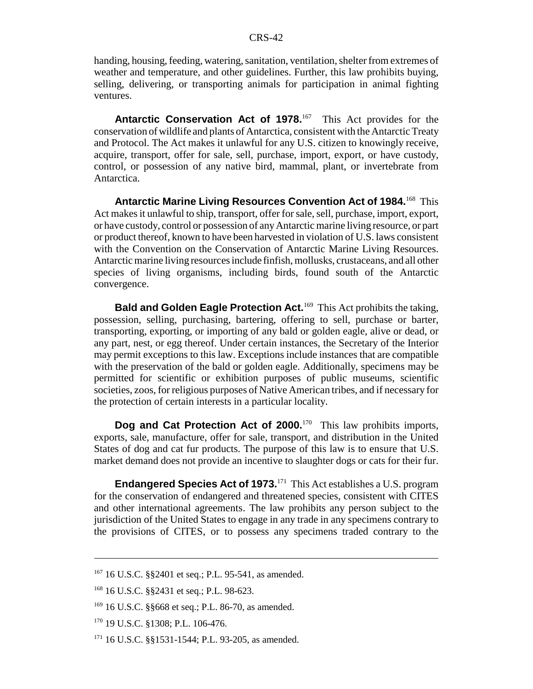handing, housing, feeding, watering, sanitation, ventilation, shelter from extremes of weather and temperature, and other guidelines. Further, this law prohibits buying, selling, delivering, or transporting animals for participation in animal fighting ventures.

**Antarctic Conservation Act of 1978.**167 This Act provides for the conservation of wildlife and plants of Antarctica, consistent with the Antarctic Treaty and Protocol. The Act makes it unlawful for any U.S. citizen to knowingly receive, acquire, transport, offer for sale, sell, purchase, import, export, or have custody, control, or possession of any native bird, mammal, plant, or invertebrate from Antarctica.

**Antarctic Marine Living Resources Convention Act of 1984.**168 This Act makes it unlawful to ship, transport, offer for sale, sell, purchase, import, export, or have custody, control or possession of any Antarctic marine living resource, or part or product thereof, known to have been harvested in violation of U.S. laws consistent with the Convention on the Conservation of Antarctic Marine Living Resources. Antarctic marine living resources include finfish, mollusks, crustaceans, and all other species of living organisms, including birds, found south of the Antarctic convergence.

**Bald and Golden Eagle Protection Act.**169 This Act prohibits the taking, possession, selling, purchasing, bartering, offering to sell, purchase or barter, transporting, exporting, or importing of any bald or golden eagle, alive or dead, or any part, nest, or egg thereof. Under certain instances, the Secretary of the Interior may permit exceptions to this law. Exceptions include instances that are compatible with the preservation of the bald or golden eagle. Additionally, specimens may be permitted for scientific or exhibition purposes of public museums, scientific societies, zoos, for religious purposes of Native American tribes, and if necessary for the protection of certain interests in a particular locality.

**Dog and Cat Protection Act of 2000.**<sup>170</sup> This law prohibits imports, exports, sale, manufacture, offer for sale, transport, and distribution in the United States of dog and cat fur products. The purpose of this law is to ensure that U.S. market demand does not provide an incentive to slaughter dogs or cats for their fur.

**Endangered Species Act of 1973.**171 This Act establishes a U.S. program for the conservation of endangered and threatened species, consistent with CITES and other international agreements. The law prohibits any person subject to the jurisdiction of the United States to engage in any trade in any specimens contrary to the provisions of CITES, or to possess any specimens traded contrary to the

<sup>167 16</sup> U.S.C. §§2401 et seq.; P.L. 95-541, as amended.

<sup>&</sup>lt;sup>168</sup> 16 U.S.C. §§2431 et seq.; P.L. 98-623.

<sup>169 16</sup> U.S.C. §§668 et seq.; P.L. 86-70, as amended.

<sup>170 19</sup> U.S.C. §1308; P.L. 106-476.

<sup>171 16</sup> U.S.C. §§1531-1544; P.L. 93-205, as amended.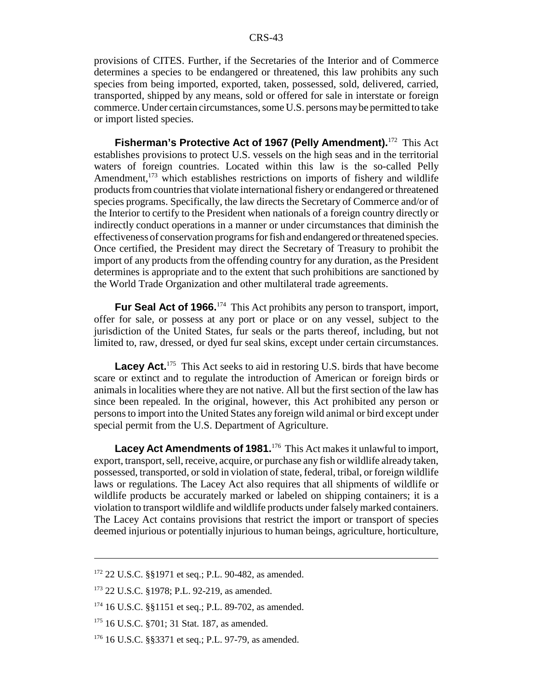provisions of CITES. Further, if the Secretaries of the Interior and of Commerce determines a species to be endangered or threatened, this law prohibits any such species from being imported, exported, taken, possessed, sold, delivered, carried, transported, shipped by any means, sold or offered for sale in interstate or foreign commerce. Under certain circumstances, some U.S. persons may be permitted to take or import listed species.

**Fisherman's Protective Act of 1967 (Pelly Amendment).**172 This Act establishes provisions to protect U.S. vessels on the high seas and in the territorial waters of foreign countries. Located within this law is the so-called Pelly Amendment,  $173$  which establishes restrictions on imports of fishery and wildlife products from countries that violate international fishery or endangered or threatened species programs. Specifically, the law directs the Secretary of Commerce and/or of the Interior to certify to the President when nationals of a foreign country directly or indirectly conduct operations in a manner or under circumstances that diminish the effectiveness of conservation programs for fish and endangered or threatened species. Once certified, the President may direct the Secretary of Treasury to prohibit the import of any products from the offending country for any duration, as the President determines is appropriate and to the extent that such prohibitions are sanctioned by the World Trade Organization and other multilateral trade agreements.

**Fur Seal Act of 1966.**<sup>174</sup> This Act prohibits any person to transport, import, offer for sale, or possess at any port or place or on any vessel, subject to the jurisdiction of the United States, fur seals or the parts thereof, including, but not limited to, raw, dressed, or dyed fur seal skins, except under certain circumstances.

**Lacey Act.**<sup>175</sup> This Act seeks to aid in restoring U.S. birds that have become scare or extinct and to regulate the introduction of American or foreign birds or animals in localities where they are not native. All but the first section of the law has since been repealed. In the original, however, this Act prohibited any person or persons to import into the United States any foreign wild animal or bird except under special permit from the U.S. Department of Agriculture.

**Lacey Act Amendments of 1981.**176 This Act makes it unlawful to import, export, transport, sell, receive, acquire, or purchase any fish or wildlife already taken, possessed, transported, or sold in violation of state, federal, tribal, or foreign wildlife laws or regulations. The Lacey Act also requires that all shipments of wildlife or wildlife products be accurately marked or labeled on shipping containers; it is a violation to transport wildlife and wildlife products under falsely marked containers. The Lacey Act contains provisions that restrict the import or transport of species deemed injurious or potentially injurious to human beings, agriculture, horticulture,

<sup>172 22</sup> U.S.C. §§1971 et seq.; P.L. 90-482, as amended.

<sup>173 22</sup> U.S.C. §1978; P.L. 92-219, as amended.

<sup>&</sup>lt;sup>174</sup> 16 U.S.C. §§1151 et seq.; P.L. 89-702, as amended.

<sup>175 16</sup> U.S.C. §701; 31 Stat. 187, as amended.

<sup>176 16</sup> U.S.C. §§3371 et seq.; P.L. 97-79, as amended.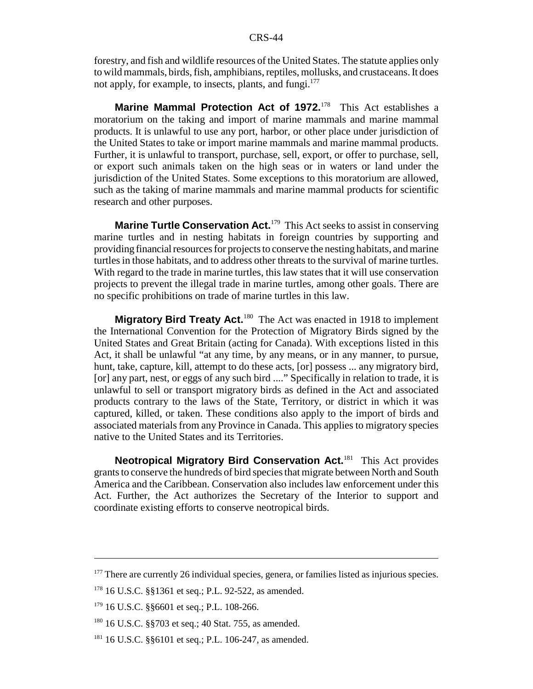forestry, and fish and wildlife resources of the United States. The statute applies only to wild mammals, birds, fish, amphibians, reptiles, mollusks, and crustaceans. It does not apply, for example, to insects, plants, and fungi.<sup>177</sup>

**Marine Mammal Protection Act of 1972.**178 This Act establishes a moratorium on the taking and import of marine mammals and marine mammal products. It is unlawful to use any port, harbor, or other place under jurisdiction of the United States to take or import marine mammals and marine mammal products. Further, it is unlawful to transport, purchase, sell, export, or offer to purchase, sell, or export such animals taken on the high seas or in waters or land under the jurisdiction of the United States. Some exceptions to this moratorium are allowed, such as the taking of marine mammals and marine mammal products for scientific research and other purposes.

**Marine Turtle Conservation Act.**<sup>179</sup> This Act seeks to assist in conserving marine turtles and in nesting habitats in foreign countries by supporting and providing financial resources for projects to conserve the nesting habitats, and marine turtles in those habitats, and to address other threats to the survival of marine turtles. With regard to the trade in marine turtles, this law states that it will use conservation projects to prevent the illegal trade in marine turtles, among other goals. There are no specific prohibitions on trade of marine turtles in this law.

**Migratory Bird Treaty Act.**<sup>180</sup> The Act was enacted in 1918 to implement the International Convention for the Protection of Migratory Birds signed by the United States and Great Britain (acting for Canada). With exceptions listed in this Act, it shall be unlawful "at any time, by any means, or in any manner, to pursue, hunt, take, capture, kill, attempt to do these acts, [or] possess ... any migratory bird, [or] any part, nest, or eggs of any such bird ...." Specifically in relation to trade, it is unlawful to sell or transport migratory birds as defined in the Act and associated products contrary to the laws of the State, Territory, or district in which it was captured, killed, or taken. These conditions also apply to the import of birds and associated materials from any Province in Canada. This applies to migratory species native to the United States and its Territories.

**Neotropical Migratory Bird Conservation Act.**181 This Act provides grants to conserve the hundreds of bird species that migrate between North and South America and the Caribbean. Conservation also includes law enforcement under this Act. Further, the Act authorizes the Secretary of the Interior to support and coordinate existing efforts to conserve neotropical birds.

 $177$  There are currently 26 individual species, genera, or families listed as injurious species.

<sup>&</sup>lt;sup>178</sup> 16 U.S.C. §§1361 et seq.; P.L. 92-522, as amended.

<sup>&</sup>lt;sup>179</sup> 16 U.S.C. §§6601 et seq.; P.L. 108-266.

<sup>&</sup>lt;sup>180</sup> 16 U.S.C. §§703 et seq.; 40 Stat. 755, as amended.

<sup>&</sup>lt;sup>181</sup> 16 U.S.C. §§6101 et seq.; P.L. 106-247, as amended.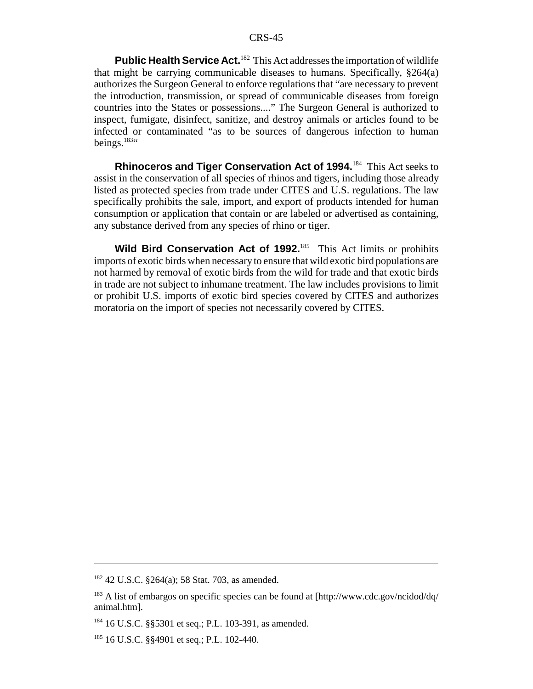**Public Health Service Act.**182 This Act addresses the importation of wildlife that might be carrying communicable diseases to humans. Specifically, §264(a) authorizes the Surgeon General to enforce regulations that "are necessary to prevent the introduction, transmission, or spread of communicable diseases from foreign countries into the States or possessions...." The Surgeon General is authorized to inspect, fumigate, disinfect, sanitize, and destroy animals or articles found to be infected or contaminated "as to be sources of dangerous infection to human beings.<sup>1836</sup>

**Rhinoceros and Tiger Conservation Act of 1994.**184 This Act seeks to assist in the conservation of all species of rhinos and tigers, including those already listed as protected species from trade under CITES and U.S. regulations. The law specifically prohibits the sale, import, and export of products intended for human consumption or application that contain or are labeled or advertised as containing, any substance derived from any species of rhino or tiger.

Wild Bird Conservation Act of 1992.<sup>185</sup> This Act limits or prohibits imports of exotic birds when necessary to ensure that wild exotic bird populations are not harmed by removal of exotic birds from the wild for trade and that exotic birds in trade are not subject to inhumane treatment. The law includes provisions to limit or prohibit U.S. imports of exotic bird species covered by CITES and authorizes moratoria on the import of species not necessarily covered by CITES.

<sup>182 42</sup> U.S.C. §264(a); 58 Stat. 703, as amended.

<sup>&</sup>lt;sup>183</sup> A list of embargos on specific species can be found at [http://www.cdc.gov/ncidod/dq/ animal.htm].

<sup>184 16</sup> U.S.C. §§5301 et seq.; P.L. 103-391, as amended.

<sup>&</sup>lt;sup>185</sup> 16 U.S.C. §§4901 et seq.; P.L. 102-440.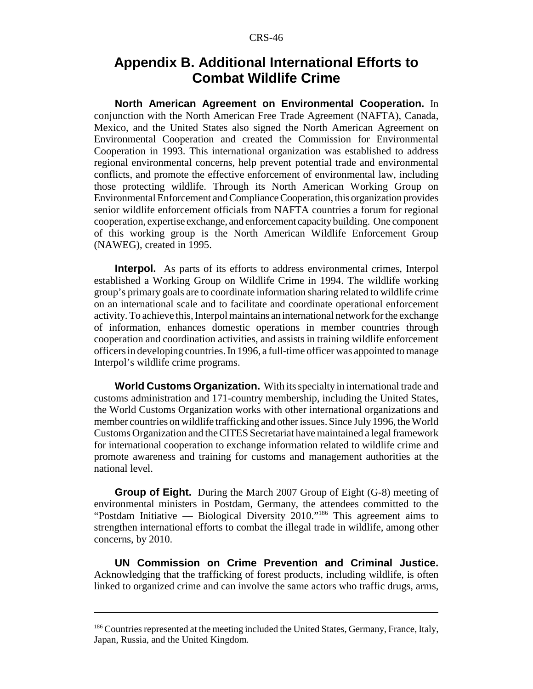## **Appendix B. Additional International Efforts to Combat Wildlife Crime**

**North American Agreement on Environmental Cooperation.** In conjunction with the North American Free Trade Agreement (NAFTA), Canada, Mexico, and the United States also signed the North American Agreement on Environmental Cooperation and created the Commission for Environmental Cooperation in 1993. This international organization was established to address regional environmental concerns, help prevent potential trade and environmental conflicts, and promote the effective enforcement of environmental law, including those protecting wildlife. Through its North American Working Group on Environmental Enforcement and Compliance Cooperation, this organization provides senior wildlife enforcement officials from NAFTA countries a forum for regional cooperation, expertise exchange, and enforcement capacity building. One component of this working group is the North American Wildlife Enforcement Group (NAWEG), created in 1995.

**Interpol.** As parts of its efforts to address environmental crimes, Interpol established a Working Group on Wildlife Crime in 1994. The wildlife working group's primary goals are to coordinate information sharing related to wildlife crime on an international scale and to facilitate and coordinate operational enforcement activity. To achieve this, Interpol maintains an international network for the exchange of information, enhances domestic operations in member countries through cooperation and coordination activities, and assists in training wildlife enforcement officers in developing countries. In 1996, a full-time officer was appointed to manage Interpol's wildlife crime programs.

**World Customs Organization.** With its specialty in international trade and customs administration and 171-country membership, including the United States, the World Customs Organization works with other international organizations and member countries on wildlife trafficking and other issues. Since July 1996, the World Customs Organization and the CITES Secretariat have maintained a legal framework for international cooperation to exchange information related to wildlife crime and promote awareness and training for customs and management authorities at the national level.

**Group of Eight.** During the March 2007 Group of Eight (G-8) meeting of environmental ministers in Postdam, Germany, the attendees committed to the "Postdam Initiative — Biological Diversity 2010."186 This agreement aims to strengthen international efforts to combat the illegal trade in wildlife, among other concerns, by 2010.

**UN Commission on Crime Prevention and Criminal Justice.** Acknowledging that the trafficking of forest products, including wildlife, is often linked to organized crime and can involve the same actors who traffic drugs, arms,

<sup>&</sup>lt;sup>186</sup> Countries represented at the meeting included the United States, Germany, France, Italy, Japan, Russia, and the United Kingdom.